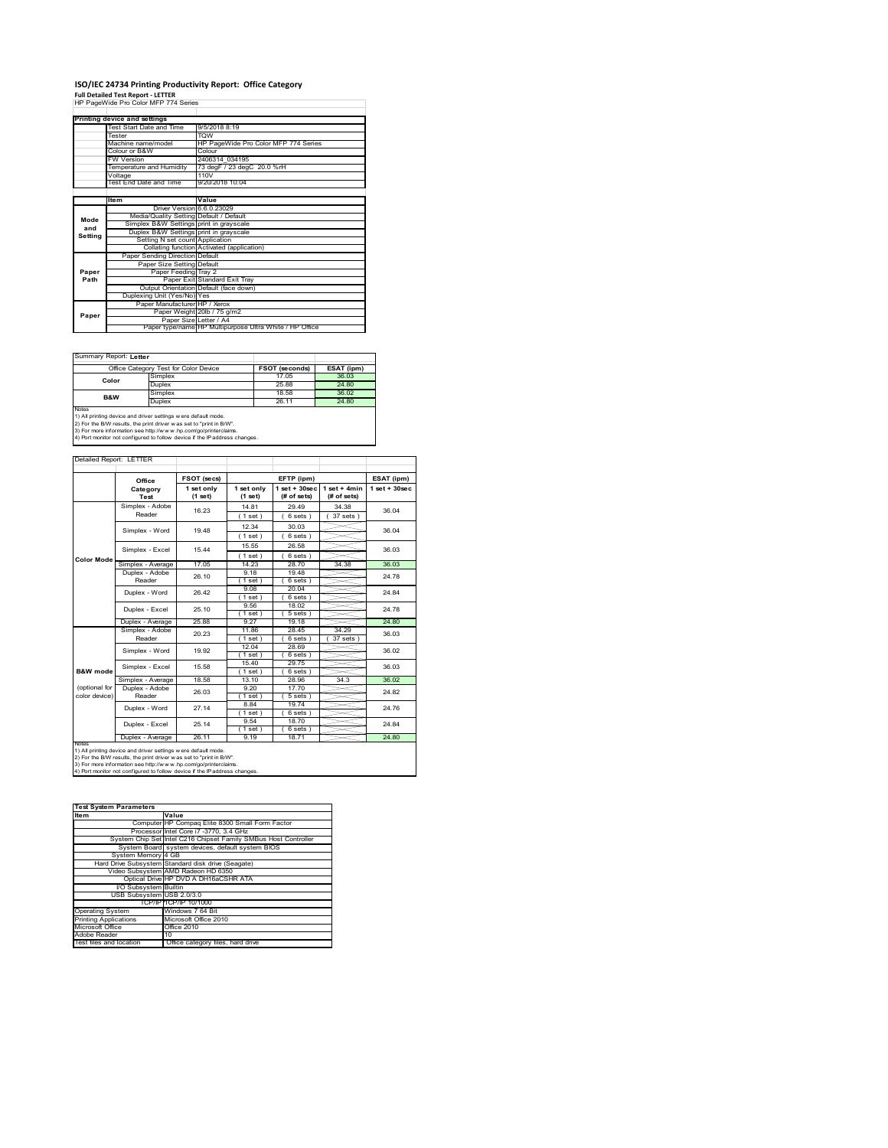# **ISO/IEC 24734 Printing Productivity Report: Office Category Full Detailed Test Report ‐ LETTER** HP PageWide Pro Color MFP 774 Series

|         | Printing device and settings            |                                                         |  |  |
|---------|-----------------------------------------|---------------------------------------------------------|--|--|
|         | Test Start Date and Time                | 9/5/2018 8:19                                           |  |  |
|         | Tester                                  | <b>TOW</b>                                              |  |  |
|         | Machine name/model                      | HP PageWide Pro Color MFP 774 Series                    |  |  |
|         | Colour or B&W                           | Colour                                                  |  |  |
|         | <b>FW Version</b>                       | 2406314 034195                                          |  |  |
|         | Temperature and Humidity                | 73 degF / 23 degC 20.0 %rH                              |  |  |
|         | Voltage                                 | 110V                                                    |  |  |
|         | Test End Date and Time                  | 9/20/2018 10:04                                         |  |  |
|         |                                         |                                                         |  |  |
|         | Item                                    | Value                                                   |  |  |
|         | Driver Version 6.6.0.23029              |                                                         |  |  |
| Mode    | Media/Quality Setting Default / Default |                                                         |  |  |
| and     | Simplex B&W Settings print in grayscale |                                                         |  |  |
| Setting | Duplex B&W Settings print in grayscale  |                                                         |  |  |
|         | Setting N set count Application         |                                                         |  |  |
|         |                                         | Collating function Activated (application)              |  |  |
|         | Paper Sending Direction Default         |                                                         |  |  |
|         | Paper Size Setting Default              |                                                         |  |  |
| Paper   | Paper Feeding Tray 2                    |                                                         |  |  |
| Path    |                                         | Paper Exit Standard Exit Tray                           |  |  |
|         |                                         | Output Orientation Default (face down)                  |  |  |
|         | Duplexing Unit (Yes/No) Yes             |                                                         |  |  |
|         | Paper Manufacturer HP / Xerox           |                                                         |  |  |
| Paper   |                                         | Paper Weight 20lb / 75 g/m2                             |  |  |
|         | Paper Size Letter / A4                  |                                                         |  |  |
|         |                                         | Paper type/name HP Multipurpose Ultra White / HP Office |  |  |

٦

Summary Report: **Letter**

| Office Category Test for Color Device                               |         | <b>FSOT (seconds)</b> | ESAT (ipm) |  |  |  |
|---------------------------------------------------------------------|---------|-----------------------|------------|--|--|--|
| Color                                                               | Simplex | 17.05                 | 36.03      |  |  |  |
|                                                                     | Duplex  | 25.88                 | 24.80      |  |  |  |
| <b>B&amp;W</b>                                                      | Simplex | 18.58                 | 36.02      |  |  |  |
|                                                                     | Duplex  | 26.11                 | 24.80      |  |  |  |
| <b>Notes</b>                                                        |         |                       |            |  |  |  |
| 1) All printing device and driver settings w ere default mode.      |         |                       |            |  |  |  |
| 2) For the B/W results, the print driver was set to "print in B/W". |         |                       |            |  |  |  |
| 3) Ear more information can bitry//www.bp.com/go/printeralaims      |         |                       |            |  |  |  |

3) For more information see http://w w w .hp.com/go/printerclaims. 4) Port monitor not configured to follow device if the IP address changes.

| Detailed Report: LETTER |                          |                       |                       |                                  |                               |                    |
|-------------------------|--------------------------|-----------------------|-----------------------|----------------------------------|-------------------------------|--------------------|
|                         | Office                   | FSOT (secs)           |                       | EFTP (ipm)                       |                               | ESAT (ipm)         |
|                         | Category<br>Test         | 1 set only<br>(1 set) | 1 set only<br>(1 set) | $1$ set $+30$ sec<br>(# of sets) | $1$ set + 4min<br>(# of sets) | $1$ set + $30$ sec |
|                         | Simplex - Adobe          | 16.23                 | 14.81                 | 29.49                            | 34.38                         | 36.04              |
|                         | Reader                   |                       | 1 set)                | $6 sets$ )                       | $37$ sets $)$                 |                    |
|                         | Simplex - Word           | 1948                  | 12.34                 | 30.03                            |                               | 36.04              |
|                         |                          |                       | 1 set)                | $6 sets$ )                       |                               |                    |
| <b>Color Mode</b>       | Simplex - Excel          | 15 44                 | 15.55                 | 26.58                            |                               | 36.03              |
|                         |                          |                       | (1 set)               | $6 sets$ )                       |                               |                    |
|                         | Simplex - Average        | 17.05                 | 14.23                 | 28.70                            | 34.38                         | 36.03              |
|                         | Duplex - Adobe           | 26.10                 | 9.18                  | 19.48                            |                               | 24.78              |
|                         | Reader                   |                       | $1$ set)              | 6 sets)                          |                               |                    |
|                         | Duplex - Word            | 26.42                 | 9.08                  | 20.04                            |                               | 24 84              |
|                         |                          |                       | $1$ set)              | $6 sets$ )                       |                               |                    |
|                         | Duplex - Excel           | 25.10                 | 9.56                  | 18.02                            |                               | 24 78              |
|                         |                          |                       | 1 set)                | $5 sets$ )                       |                               |                    |
|                         | Duplex - Average         | 25.88                 | 9.27                  | 19.18                            |                               | 24.80              |
|                         | Simplex - Adobe          | 20.23                 | 11.86                 | 28.45                            | 34 29                         | 36.03              |
|                         | Reader                   |                       | (1 set)               | 6 sets )                         | 37 sets                       |                    |
|                         | Simplex - Word           | 19.92                 | 12.04                 | 28.69                            |                               | 36.02              |
|                         |                          |                       | (1 set)               | 6 sets)                          |                               |                    |
|                         | Simplex - Excel          | 15.58                 | 15.40                 | 29.75                            |                               | 36.03              |
| B&W mode                |                          |                       | (1 set)               | 6 sets)                          | 34.3                          | 36.02              |
| (optional for           | Simplex - Average        | 18.58                 | 13.10<br>9,20         | 28.96                            |                               |                    |
| color device)           | Duplex - Adobe<br>Reader | 26.03                 | $1$ set)              | 17.70<br>$5 sets$ )              |                               | 24 82              |
|                         |                          |                       | 8.84                  | 19.74                            |                               |                    |
|                         | Duplex - Word            | 27.14                 | $1$ set)              | 6 sets)                          |                               | 24.76              |
|                         |                          |                       | 9.54                  | 18.70                            |                               |                    |
|                         | Duplex - Excel           | 25 14                 | 1 set)                | 6 sets)                          |                               | 24 84              |
|                         | Duplex - Average         | 26.11                 | 9.19                  | 18.71                            |                               | 24.80              |
| <b>NOtes</b>            |                          |                       |                       |                                  |                               |                    |

notes<br>1) All printing device and driver settings were default mode.<br>2) For the B/W results, the print driver was set to "print in B/W".<br>3) For more information see http://www.hp.com/go/printerclaims.<br>4) Por morator not con

| <b>Test System Parameters</b> |                                                                 |
|-------------------------------|-----------------------------------------------------------------|
| <b>Item</b>                   | Value                                                           |
|                               | Computer HP Compag Elite 8300 Small Form Factor                 |
|                               | Processor Intel Core i7 -3770, 3.4 GHz                          |
|                               | System Chip Set Intel C216 Chipset Family SMBus Host Controller |
|                               | System Board system devices, default system BIOS                |
| System Memory 4 GB            |                                                                 |
|                               | Hard Drive Subsystem Standard disk drive (Seagate)              |
|                               | Video Subsystem AMD Radeon HD 6350                              |
|                               | Optical Drive HP DVD A DH16aCSHR ATA                            |
| <b>VO Subsystem Builtin</b>   |                                                                 |
| USB Subsystem USB 2.0/3.0     |                                                                 |
|                               | TCP/IP TCP/IP 10/1000                                           |
| <b>Operating System</b>       | Windows 7 64 Bit                                                |
| <b>Printing Applications</b>  | Microsoft Office 2010                                           |
| Microsoft Office              | Office 2010                                                     |
| Adobe Reader                  | 10                                                              |
| Test files and location       | Office category files, hard drive                               |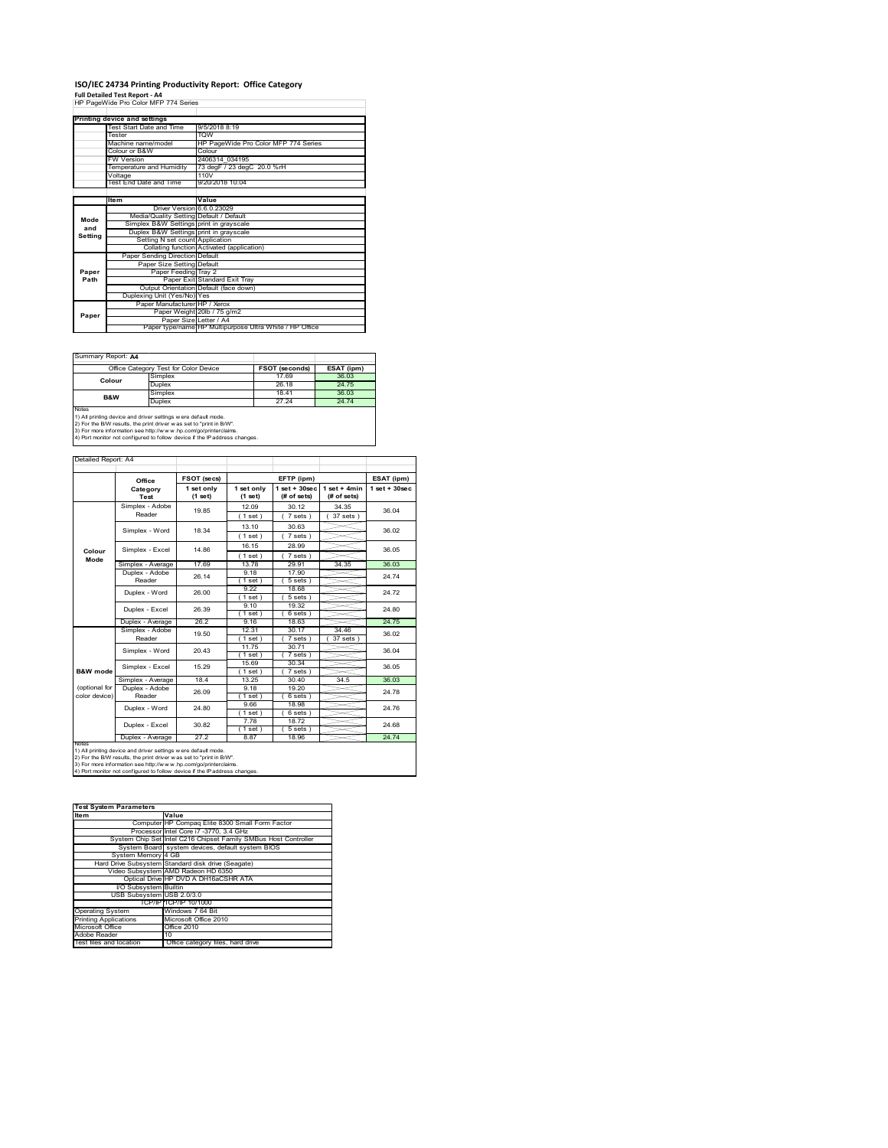## **ISO/IEC 24734 Printing Productivity Report: Office Category**

**Full Detailed Test Report ‐ A4** HP PageWide Pro Color MFP 774 Series

|         | Printing device and settings            |                                                         |  |  |
|---------|-----------------------------------------|---------------------------------------------------------|--|--|
|         | Test Start Date and Time                | 9/5/2018 8:19                                           |  |  |
|         | Tester                                  | <b>TOW</b>                                              |  |  |
|         | Machine name/model                      | HP PageWide Pro Color MFP 774 Series                    |  |  |
|         | Colour or B&W                           | Colour                                                  |  |  |
|         | <b>FW Version</b>                       | 2406314 034195                                          |  |  |
|         | Temperature and Humidity                | 73 degF / 23 degC 20.0 %rH                              |  |  |
|         | Voltage                                 | 110V                                                    |  |  |
|         | Test End Date and Time                  | 9/20/2018 10:04                                         |  |  |
|         |                                         |                                                         |  |  |
|         | ltem                                    | Value                                                   |  |  |
|         | Driver Version 6.6.0.23029              |                                                         |  |  |
| Mode    | Media/Quality Setting Default / Default |                                                         |  |  |
| and     | Simplex B&W Settings print in grayscale |                                                         |  |  |
| Setting | Duplex B&W Settings print in grayscale  |                                                         |  |  |
|         | Setting N set count Application         |                                                         |  |  |
|         |                                         | Collating function Activated (application)              |  |  |
|         | Paper Sending Direction Default         |                                                         |  |  |
|         | Paper Size Setting Default              |                                                         |  |  |
| Paper   | Paper Feeding Tray 2                    |                                                         |  |  |
| Path    |                                         | Paper Exit Standard Exit Tray                           |  |  |
|         |                                         | Output Orientation Default (face down)                  |  |  |
|         | Duplexing Unit (Yes/No) Yes             |                                                         |  |  |
|         | Paper Manufacturer HP / Xerox           |                                                         |  |  |
| Paper   |                                         | Paper Weight 20lb / 75 g/m2                             |  |  |
|         | Paper Size Letter / A4                  |                                                         |  |  |
|         |                                         | Paper type/name HP Multipurpose Ultra White / HP Office |  |  |

 $\overline{\phantom{a}}$ 

Summary Report: **A4**

|                                                                                                                                                       | Office Category Test for Color Device | <b>FSOT (seconds)</b> | ESAT (ipm) |  |  |
|-------------------------------------------------------------------------------------------------------------------------------------------------------|---------------------------------------|-----------------------|------------|--|--|
| Colour                                                                                                                                                | Simplex                               | 1769                  | 36.03      |  |  |
|                                                                                                                                                       | Duplex                                | 26.18                 | 24.75      |  |  |
| B&W                                                                                                                                                   | Simplex                               | 1841                  | 36.03      |  |  |
|                                                                                                                                                       | Duplex                                | 27 24                 | 24.74      |  |  |
| <b>Notes</b><br>1) All printing device and driver settings w ere default mode.<br>2) For the B/W results, the print driver was set to "print in B/W". |                                       |                       |            |  |  |

2) For the B/W results, the print driver w as set to "print in B/W".<br>3) For more information see http://w w w .hp.com/go/printerclaims.<br>4) Port monitor not configured to follow device if the IP address changes.

Detailed Report: A4

|                                | Office                   | FSOT (secs) |                 | EFTP (ipm)        |                | ESAT (ipm)        |
|--------------------------------|--------------------------|-------------|-----------------|-------------------|----------------|-------------------|
|                                | Category                 | 1 set only  | 1 set only      | $1$ set $+30$ sec | $1$ set + 4min | $1$ set $+30$ sec |
|                                | Test                     | (1 set)     | (1 set)         | (# of sets)       | (# of sets)    |                   |
|                                | Simplex - Adobe          | 1985        | 12.09           | 30 12             | 34 35          | 36.04             |
|                                | Reader                   |             | (1 set)         | 7 sets            | 37 sets)       |                   |
|                                | Simplex - Word           | 18.34       | 13.10           | 30.63             |                | 36.02             |
|                                |                          |             | (1 set)         | 7 sets)           |                |                   |
| Colour                         | Simplex - Excel          | 14 86       | 16 15           | 28.99             |                | 36.05             |
| Mode                           |                          |             | (1 set)         | 7 sets)           |                |                   |
| Simplex - Average              | 1769                     | 1378        | 29.91           | 34.35             | 36.03          |                   |
|                                | Duplex - Adobe           | 26 14       | 9.18            | 17.90             |                | 24 74             |
|                                | Reader                   |             | (1 set )        | 5 sets            |                |                   |
|                                | Duplex - Word            | 26.00       | 9 22            | 18.68             |                | 24 72             |
|                                |                          |             | $1$ set $1$     | 5 sets 1          |                |                   |
|                                | Duplex - Excel           | 26.39       | 9.10            | 19.32             |                | 24 80             |
|                                |                          |             | $1$ set)        | 6 sets 1          |                |                   |
|                                | Duplex - Average         | 26.2        | 9.16            | 18.63             |                | 24 75             |
|                                | Simplex - Adobe          | 19.50       | 12 31           | 30 17             | 34 46          | 36.02             |
|                                | Reader                   |             | (1 set)         | 7 sets            | 37 sets        |                   |
|                                | Simplex - Word           | 20 43       | 11.75           | 30.71             |                | 36.04             |
|                                |                          |             | (1 set)         | 7 sets 1          |                |                   |
|                                | Simplex - Excel          | 15 29       | 15.69           | 30 34             |                | 36.05             |
| <b>B&amp;W</b> mode            |                          |             | 1 set)          | 7 sets)           |                |                   |
|                                | Simplex - Average        | 184         | 13 25           | 30.40             | 34.5           | 36.03             |
| (optional for<br>color device) | Duplex - Adobe<br>Reader | 26.09       | 9.18            | 19.20             |                | 24 78             |
|                                |                          |             | (1 set)<br>9.66 | 6 sets)<br>18.98  |                |                   |
|                                | Duplex - Word            | 24 80       | $'1$ set)       | 6 sets            |                | 24 76             |
|                                |                          |             | 7.78            | 1872              |                |                   |
|                                | Duplex - Excel           | 30.82       | 1 set)          | 5 sets)           |                | 24 68             |
|                                | Duplex - Average         | 27.2        | 8.87            | 18.96             |                | 24 74             |
| <b>NOIRS</b>                   |                          |             |                 |                   |                |                   |

notes<br>1) All printing device and driver settings were default mode.<br>2) For the B/W results, the print driver was set to "print in B/W".<br>3) For more information see http://www.hp.com/go/printerclaims.<br>4) Por morator not con

| <b>Test System Parameters</b> |                                                                 |
|-------------------------------|-----------------------------------------------------------------|
| <b>Item</b>                   | Value                                                           |
|                               |                                                                 |
|                               | Computer HP Compag Elite 8300 Small Form Factor                 |
|                               | Processor Intel Core i7 -3770, 3.4 GHz                          |
|                               | System Chip Set Intel C216 Chipset Family SMBus Host Controller |
|                               | System Board system devices, default system BIOS                |
| System Memory 4 GB            |                                                                 |
|                               | Hard Drive Subsystem Standard disk drive (Seagate)              |
|                               | Video Subsystem AMD Radeon HD 6350                              |
|                               | Optical Drive HP DVD A DH16aCSHR ATA                            |
| I/O Subsystem Builtin         |                                                                 |
| USB Subsystem USB 2.0/3.0     |                                                                 |
|                               | TCP/IPITCP/IP 10/1000                                           |
| <b>Operating System</b>       | Windows 7 64 Bit                                                |
| <b>Printing Applications</b>  | Microsoft Office 2010                                           |
| Microsoft Office              | Office 2010                                                     |
| Adobe Reader                  | 10                                                              |
| Test files and location       | Office category files, hard drive                               |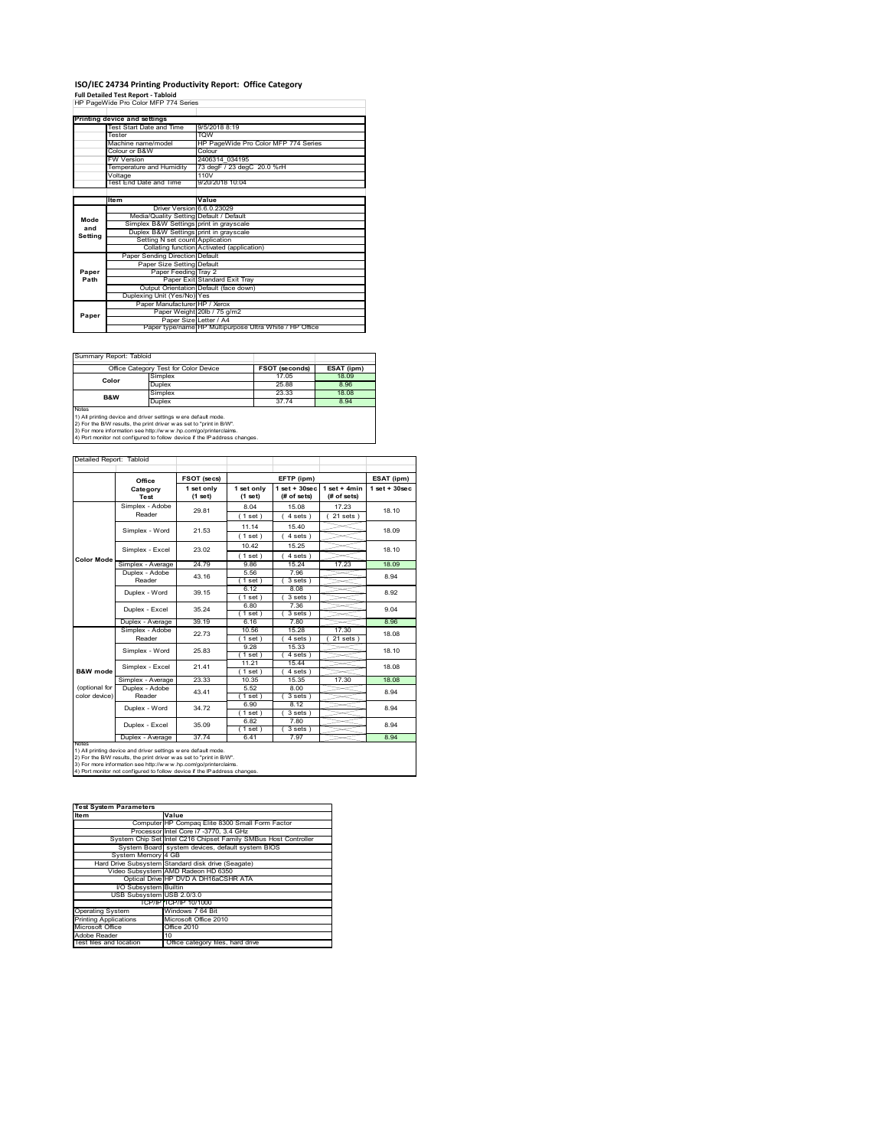## **ISO/IEC 24734 Printing Productivity Report: Office Category**

**Full Detailed Test Report ‐ Tabloid** HP PageWide Pro Color MFP 774 Series

| HP PageWide Pro Color MFP 774 Series |                                         |                                                         |  |
|--------------------------------------|-----------------------------------------|---------------------------------------------------------|--|
|                                      |                                         |                                                         |  |
|                                      | Printing device and settings            |                                                         |  |
|                                      | Test Start Date and Time                | 9/5/2018 8:19                                           |  |
|                                      | Tester                                  | <b>TOW</b>                                              |  |
|                                      | Machine name/model                      | HP PageWide Pro Color MFP 774 Series                    |  |
|                                      | Colour or B&W                           | Colour                                                  |  |
|                                      | <b>FW Version</b>                       | 2406314 034195                                          |  |
|                                      | Temperature and Humidity                | 73 degF / 23 degC 20.0 %rH                              |  |
|                                      | Voltage                                 | 110V                                                    |  |
|                                      | Test End Date and Time                  | 9/20/2018 10:04                                         |  |
|                                      |                                         |                                                         |  |
|                                      | ltem                                    | Value                                                   |  |
|                                      | Driver Version 6.6.0.23029              |                                                         |  |
| Mode                                 | Media/Quality Setting Default / Default |                                                         |  |
| and                                  | Simplex B&W Settings print in grayscale |                                                         |  |
| Setting                              | Duplex B&W Settings print in grayscale  |                                                         |  |
|                                      | Setting N set count Application         |                                                         |  |
|                                      |                                         | Collating function Activated (application)              |  |
|                                      | Paper Sending Direction Default         |                                                         |  |
|                                      | Paper Size Setting Default              |                                                         |  |
| Paper                                | Paper Feeding Tray 2                    |                                                         |  |
| Path                                 |                                         | Paper Exit Standard Exit Tray                           |  |
|                                      |                                         | Output Orientation Default (face down)                  |  |
|                                      | Duplexing Unit (Yes/No) Yes             |                                                         |  |
|                                      | Paper Manufacturer HP / Xerox           |                                                         |  |
| Paper                                |                                         | Paper Weight 20lb / 75 g/m2                             |  |
|                                      | Paper Size Letter / A4                  |                                                         |  |
|                                      |                                         | Paper type/name HP Multipurpose Ultra White / HP Office |  |

Summary Report: Tabloid

|                                                                                                                                                                                                                                                                                                 | Office Category Test for Color Device | <b>FSOT (seconds)</b> | ESAT (ipm) |  |  |
|-------------------------------------------------------------------------------------------------------------------------------------------------------------------------------------------------------------------------------------------------------------------------------------------------|---------------------------------------|-----------------------|------------|--|--|
| Color                                                                                                                                                                                                                                                                                           | Simplex                               | 17.05                 | 18.09      |  |  |
|                                                                                                                                                                                                                                                                                                 | Duplex                                | 25.88                 | 8.96       |  |  |
| <b>B&amp;W</b>                                                                                                                                                                                                                                                                                  | Simplex                               | 23.33                 | 18.08      |  |  |
|                                                                                                                                                                                                                                                                                                 | 37.74<br>Duplex                       |                       | 8.94       |  |  |
| Notes<br>1) All printing device and driver settings w ere default mode.<br>2) For the B/W results, the print driver was set to "print in B/W".<br>3) For more information see http://www.hp.com/go/printerclaims.<br>4) Port monitor not configured to follow device if the IP address changes. |                                       |                       |            |  |  |

 $\overline{\phantom{a}}$ 

| Detailed Report: Tabloid |  |  |
|--------------------------|--|--|
|                          |  |  |

|                                                                   | Office            | FSOT (secs)           |                       | EFTP (ipm)                       |                               | ESAT (ipm)        |
|-------------------------------------------------------------------|-------------------|-----------------------|-----------------------|----------------------------------|-------------------------------|-------------------|
|                                                                   | Category<br>Test  | 1 set only<br>(1 set) | 1 set only<br>(1 set) | $1$ set $+30$ sec<br>(# of sets) | $1$ set + 4min<br>(# of sets) | $1$ set $+30$ sec |
|                                                                   | Simplex - Adobe   | 29.81                 | 8.04                  | 15.08                            | 17.23                         | 18.10             |
|                                                                   | Reader            |                       | (1 set)               | 4 sets                           | $21$ sets $)$                 |                   |
|                                                                   | Simplex - Word    | 21.53                 | 11.14                 | 15.40                            |                               | 18.09             |
|                                                                   |                   |                       | (1 set)               | 4 sets)                          |                               |                   |
|                                                                   | Simplex - Excel   | 23.02                 | 10.42                 | 15 25                            |                               | 18 10             |
| <b>Color Mode</b>                                                 |                   |                       | (1 set)               | 4 sets )                         |                               |                   |
|                                                                   | Simplex - Average | 24.79                 | 9.86                  | 15.24                            | 17.23                         | 18.09             |
|                                                                   | Duplex - Adobe    | 43.16                 | 5.56                  | 7.96                             |                               | 8.94              |
|                                                                   | Reader            |                       | $1$ set)              | 3 sets )                         |                               |                   |
|                                                                   | Duplex - Word     | 39.15                 | 6.12                  | 8.08                             |                               | 8.92              |
|                                                                   |                   |                       | (1 set)               | 3 sets                           |                               |                   |
|                                                                   | Duplex - Excel    | 35.24                 | 6.80                  | 7.36<br>3 sets                   |                               | 9.04              |
|                                                                   | Duplex - Average  | 39.19                 | (1 set)<br>6.16       | 7.80                             |                               | 8.96              |
|                                                                   | Simplex - Adobe   |                       | 10.56                 | 15.28                            | 17.30                         |                   |
|                                                                   | Reader            | 2273                  | (1 set)               | 4 sets 1                         | 21 sets 1                     | 18.08             |
|                                                                   |                   | 25.83                 | 9.28                  | 15.33                            |                               |                   |
|                                                                   | Simplex - Word    |                       | (1 set )              | 4 sets )                         |                               | 18.10             |
|                                                                   | Simplex - Excel   | 21 41                 | 11.21                 | 15.44                            |                               | 18.08             |
| B&W mode                                                          |                   |                       | $1$ set)              | 4 sets )                         |                               |                   |
|                                                                   | Simplex - Average | 23.33                 | 10.35                 | 15.35                            | 17.30                         | 18.08             |
| (optional for                                                     | Duplex - Adobe    | 43.41                 | 5.52                  | 8.00                             |                               | 8.94              |
| color device)                                                     | Reader            |                       | (1 set)               | 3 sets                           |                               |                   |
|                                                                   | Duplex - Word     | 34 72                 | 6.90                  | 8.12                             |                               | 8.94              |
|                                                                   |                   |                       | $1$ set)              | $3 sets$ )                       |                               |                   |
|                                                                   | Duplex - Excel    | 35.09                 | 6.82                  | 7.80                             |                               | 8.94              |
|                                                                   |                   |                       | (1 set)               | 3 sets)                          |                               |                   |
| Duplex - Average<br>37 74<br>7.97<br>8.94<br>6.41<br><b>NOtes</b> |                   |                       |                       |                                  |                               |                   |

| <b>Test System Parameters</b> |                                                                 |  |  |  |  |
|-------------------------------|-----------------------------------------------------------------|--|--|--|--|
| <b>Item</b>                   | Value                                                           |  |  |  |  |
|                               | Computer HP Compag Elite 8300 Small Form Factor                 |  |  |  |  |
|                               | Processor Intel Core i7 -3770, 3.4 GHz                          |  |  |  |  |
|                               | System Chip Set Intel C216 Chipset Family SMBus Host Controller |  |  |  |  |
|                               | System Board system devices, default system BIOS                |  |  |  |  |
| System Memory 4 GB            |                                                                 |  |  |  |  |
|                               | Hard Drive Subsystem Standard disk drive (Seagate)              |  |  |  |  |
|                               | Video Subsystem AMD Radeon HD 6350                              |  |  |  |  |
|                               | Optical Drive HP DVD A DH16aCSHR ATA                            |  |  |  |  |
| <b>VO Subsystem Builtin</b>   |                                                                 |  |  |  |  |
| USB Subsystem USB 2.0/3.0     |                                                                 |  |  |  |  |
|                               | TCP/IPITCP/IP 10/1000                                           |  |  |  |  |
| <b>Operating System</b>       | Windows 7 64 Bit                                                |  |  |  |  |
| <b>Printing Applications</b>  | Microsoft Office 2010                                           |  |  |  |  |
| Microsoft Office              | Office 2010                                                     |  |  |  |  |
| Adobe Reader                  | 10                                                              |  |  |  |  |
| Test files and location       | Office category files, hard drive                               |  |  |  |  |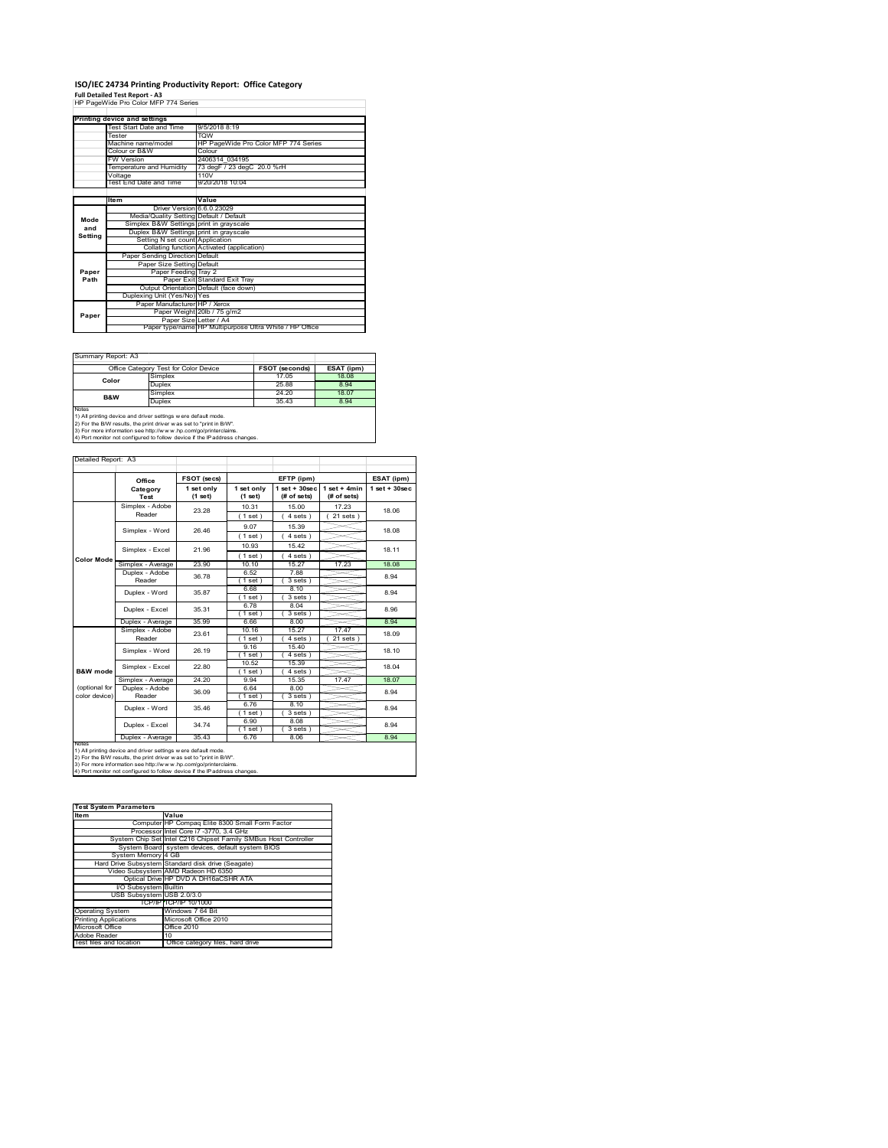### **ISO/IEC 24734 Printing Productivity Report: Office Category Full Detailed Test Report ‐ A3** HP PageWide Pro Color MFP 774 Series

|         | Printing device and settings            |                                                         |  |
|---------|-----------------------------------------|---------------------------------------------------------|--|
|         | <b>Test Start Date and Time</b>         | 9/5/2018 8:19                                           |  |
|         | Tester                                  | <b>TOW</b>                                              |  |
|         | Machine name/model                      | HP PageWide Pro Color MFP 774 Series                    |  |
|         | Colour or B&W                           | Colour                                                  |  |
|         | <b>FW Version</b>                       | 2406314 034195                                          |  |
|         | Temperature and Humidity                | 73 degF / 23 degC 20.0 %rH                              |  |
|         | Voltage                                 | 110V                                                    |  |
|         | Test End Date and Time                  | 9/20/2018 10:04                                         |  |
|         |                                         |                                                         |  |
|         | Item                                    | Value                                                   |  |
|         | Driver Version 6.6.0.23029              |                                                         |  |
| Mode    | Media/Quality Setting Default / Default |                                                         |  |
| and     | Simplex B&W Settings print in grayscale |                                                         |  |
| Setting | Duplex B&W Settings print in grayscale  |                                                         |  |
|         | Setting N set count Application         |                                                         |  |
|         |                                         | Collating function Activated (application)              |  |
|         | Paper Sending Direction Default         |                                                         |  |
|         | Paper Size Setting Default              |                                                         |  |
| Paper   | Paper Feeding Tray 2                    |                                                         |  |
| Path    |                                         | Paper Exit Standard Exit Tray                           |  |
|         |                                         | Output Orientation Default (face down)                  |  |
|         | Duplexing Unit (Yes/No) Yes             |                                                         |  |
|         | Paper Manufacturer HP / Xerox           |                                                         |  |
| Paper   |                                         | Paper Weight 20lb / 75 g/m2                             |  |
|         | Paper Size Letter / A4                  |                                                         |  |
|         |                                         | Paper type/name HP Multipurpose Ultra White / HP Office |  |

Summary Report: A3

| <b>Utilished And Internet And I</b>                                                                                                                                                                                                                                                             |                 |                       |            |  |
|-------------------------------------------------------------------------------------------------------------------------------------------------------------------------------------------------------------------------------------------------------------------------------------------------|-----------------|-----------------------|------------|--|
| Office Category Test for Color Device                                                                                                                                                                                                                                                           |                 | <b>FSOT (seconds)</b> | ESAT (ipm) |  |
| Color                                                                                                                                                                                                                                                                                           | Simplex         | 17 05                 | 18.08      |  |
|                                                                                                                                                                                                                                                                                                 | Duplex          | 25.88                 | 8.94       |  |
| B&W                                                                                                                                                                                                                                                                                             | Simplex         | 24.20                 | 18.07      |  |
|                                                                                                                                                                                                                                                                                                 | 35.43<br>Duplex |                       | 8.94       |  |
| Notes<br>1) All printing device and driver settings w ere default mode.<br>2) For the B/W results, the print driver was set to "print in B/W".<br>3) For more information see http://www.hp.com/go/printerclaims.<br>4) Port monitor not configured to follow device if the IP address changes. |                 |                       |            |  |

 $\overline{\phantom{a}}$ 

٦

|                     | T4) Port monitor not configured to follow device if the ⊪address changes. |  |  |  |
|---------------------|---------------------------------------------------------------------------|--|--|--|
|                     |                                                                           |  |  |  |
|                     |                                                                           |  |  |  |
|                     |                                                                           |  |  |  |
| Detailed Report: A3 |                                                                           |  |  |  |

|                     | Office                    | FSOT (secs)           |                       | EFTP (ipm)                       |                               |                    |  |
|---------------------|---------------------------|-----------------------|-----------------------|----------------------------------|-------------------------------|--------------------|--|
|                     | Category<br>Test          | 1 set only<br>(1 set) | 1 set only<br>(1 set) | $1$ set $+30$ sec<br>(# of sets) | $1$ set + 4min<br>(# of sets) | $1$ set + $30$ sec |  |
|                     | Simplex - Adobe           | 23.28                 | 10.31                 | 15.00                            | 17 23                         | 18.06              |  |
|                     | Reader                    |                       | (1 set)               | 4 sets)                          | $21$ sets $)$                 |                    |  |
|                     | Simplex - Word            | 26.46                 | 9.07                  | 15.39                            |                               | 18.08              |  |
|                     |                           |                       | (1 set)               | 4 sets)                          |                               |                    |  |
|                     | Simplex - Excel           | 21.96                 | 10.93                 | 15.42                            |                               | 18 11              |  |
| <b>Color Mode</b>   |                           |                       | $1$ set)              | 4 sets)                          |                               |                    |  |
|                     | Simplex - Average         | 23.90                 | 10.10                 | 15.27                            | 17.23                         | 18.08              |  |
|                     | Duplex - Adobe            | 36.78                 | 6.52                  | 7.88                             |                               | 8.94               |  |
|                     | Reader                    |                       | $1$ set)              | 3 sets)                          |                               |                    |  |
|                     | Duplex - Word             | 35.87                 | 6.68                  | 8.10                             |                               | 8.94               |  |
|                     |                           |                       | $1$ set)              | $3 sets$ )                       |                               |                    |  |
|                     | Duplex - Excel            | 35.31                 | 6.78                  | 8.04                             |                               | 8.96               |  |
|                     |                           |                       | $1$ set)              | 3 sets)                          |                               |                    |  |
|                     | Duplex - Average          | 35.99                 | 6.66                  | 8.00                             |                               | 8.94               |  |
|                     | Simplex - Adobe<br>Reader | 23.61                 | 10.16                 | 15.27                            | 17.47                         | 18.09              |  |
|                     |                           |                       | $1$ set)              | 4 sets 1                         | 21 sets                       |                    |  |
|                     | Simplex - Word            | 26.19                 | 9.16                  | 15.40                            |                               | 18.10              |  |
|                     |                           |                       | $1$ set)              | 4 sets)                          |                               |                    |  |
|                     | Simplex - Excel           | 22.80                 | 10.52                 | 15.39                            |                               | 18.04              |  |
| <b>B&amp;W</b> mode |                           |                       | $1$ set)              | 4 sets)                          |                               |                    |  |
|                     | Simplex - Average         | 24 20                 | 9.94                  | 15 35                            | 17.47                         | 18.07              |  |
| (optional for       | Duplex - Adobe            | 36.09                 | 6.64                  | 8.00                             |                               | 8.94               |  |
| color device)       | Reader                    |                       | $1$ set)              | 3 sets)                          |                               |                    |  |
|                     | Duplex - Word             | 35.46                 | 6.76                  | 8.10                             |                               | 8.94               |  |
|                     |                           |                       | $1$ set)              | 3 sets)                          |                               |                    |  |
|                     | Duplex - Excel            | 34.74                 | 6.90                  | 8.08                             |                               | 8.94               |  |
|                     |                           |                       | $1$ set)              | 3 sets)                          |                               |                    |  |
|                     | Duplex - Average          | 35.43                 | 6.76                  | 8.06                             |                               | 8.94               |  |

1) All printing device and driver settings were default mode.<br>2) For the B/W results, the print driver was set to "print in B/W".<br>3) For more information see http://www.hp.com/go/printerclaims.<br>4) Port monitor not configur

| <b>Test System Parameters</b> |                                                                 |  |  |  |
|-------------------------------|-----------------------------------------------------------------|--|--|--|
| <b>Item</b>                   | Value                                                           |  |  |  |
|                               | Computer HP Compag Elite 8300 Small Form Factor                 |  |  |  |
|                               | Processor Intel Core i7 -3770, 3.4 GHz                          |  |  |  |
|                               | System Chip Set Intel C216 Chipset Family SMBus Host Controller |  |  |  |
|                               | System Board system devices, default system BIOS                |  |  |  |
| System Memory 4 GB            |                                                                 |  |  |  |
|                               | Hard Drive Subsystem Standard disk drive (Seagate)              |  |  |  |
|                               | Video Subsystem AMD Radeon HD 6350                              |  |  |  |
|                               | Optical Drive HP DVD A DH16aCSHR ATA                            |  |  |  |
| I/O Subsystem Builtin         |                                                                 |  |  |  |
| USB Subsystem USB 2.0/3.0     |                                                                 |  |  |  |
|                               | TCP/IPITCP/IP 10/1000                                           |  |  |  |
| <b>Operating System</b>       | Windows 7 64 Bit                                                |  |  |  |
| <b>Printing Applications</b>  | Microsoft Office 2010                                           |  |  |  |
| Microsoft Office              | Office 2010                                                     |  |  |  |
| Adobe Reader                  | 10                                                              |  |  |  |
| Test files and location       | Office category files, hard drive                               |  |  |  |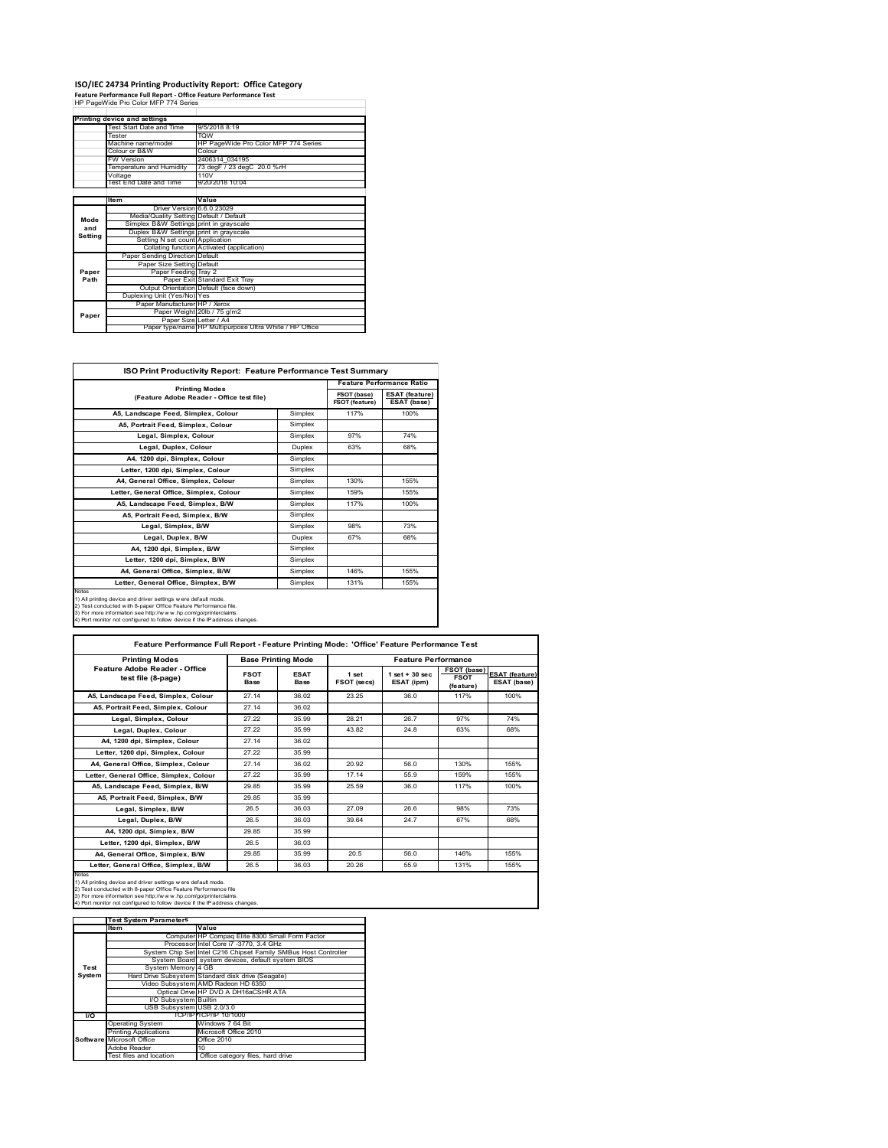# **ISO/IEC 24734 Printing Productivity Report: Office Category Feature Performance Full Report ‐ Office Feature Performance Test** HP PageWide Pro Color MFP 774 Series

|         | . catule reflormance run Report - Office reature reflormance rest<br>HP PageWide Pro Color MFP 774 Series |                                                         |  |  |  |
|---------|-----------------------------------------------------------------------------------------------------------|---------------------------------------------------------|--|--|--|
|         |                                                                                                           |                                                         |  |  |  |
|         | Printing device and settings                                                                              |                                                         |  |  |  |
|         | Test Start Date and Time                                                                                  | 9/5/2018 8:19                                           |  |  |  |
|         | Tester                                                                                                    | <b>TOW</b>                                              |  |  |  |
|         | Machine name/model                                                                                        | HP PageWide Pro Color MFP 774 Series                    |  |  |  |
|         | Colour or B&W                                                                                             | Colour                                                  |  |  |  |
|         | <b>FW Version</b>                                                                                         | 2406314 034195                                          |  |  |  |
|         | Temperature and Humidity                                                                                  | 73 degF / 23 degC 20.0 %rH                              |  |  |  |
|         | Voltage                                                                                                   | 110V                                                    |  |  |  |
|         | Test End Date and Time                                                                                    | 9/20/2018 10:04                                         |  |  |  |
|         |                                                                                                           |                                                         |  |  |  |
|         | <b>Item</b>                                                                                               | Value                                                   |  |  |  |
|         | Driver Version 6.6.0.23029                                                                                |                                                         |  |  |  |
| Mode    | Media/Quality Setting Default / Default                                                                   |                                                         |  |  |  |
| and     | Simplex B&W Settings print in grayscale                                                                   |                                                         |  |  |  |
| Setting | Duplex B&W Settings print in grayscale                                                                    |                                                         |  |  |  |
|         | Setting N set count Application                                                                           |                                                         |  |  |  |
|         |                                                                                                           | Collating function Activated (application)              |  |  |  |
|         | Paper Sending Direction Default                                                                           |                                                         |  |  |  |
|         | Paper Size Setting Default                                                                                |                                                         |  |  |  |
| Paper   | Paper Feeding Tray 2                                                                                      |                                                         |  |  |  |
| Path    |                                                                                                           | Paper Exit Standard Exit Tray                           |  |  |  |
|         |                                                                                                           | Output Orientation Default (face down)                  |  |  |  |
|         | Duplexing Unit (Yes/No) Yes                                                                               |                                                         |  |  |  |
|         | Paper Manufacturer HP / Xerox                                                                             |                                                         |  |  |  |
| Paper   |                                                                                                           | Paper Weight 20lb / 75 g/m2                             |  |  |  |
|         | Paper Size Letter / A4                                                                                    | Paper type/name HP Multipurpose Ultra White / HP Office |  |  |  |
|         |                                                                                                           |                                                         |  |  |  |

| ISO Print Productivity Report: Feature Performance Test Summary                                                                                                                                                                                                                             |               |                                      |                                      |  |
|---------------------------------------------------------------------------------------------------------------------------------------------------------------------------------------------------------------------------------------------------------------------------------------------|---------------|--------------------------------------|--------------------------------------|--|
| <b>Printing Modes</b>                                                                                                                                                                                                                                                                       |               | <b>Feature Performance Ratio</b>     |                                      |  |
| (Feature Adobe Reader - Office test file)                                                                                                                                                                                                                                                   |               | FSOT (base)<br><b>FSOT (feature)</b> | <b>ESAT (feature)</b><br>ESAT (base) |  |
| A5, Landscape Feed, Simplex, Colour                                                                                                                                                                                                                                                         | Simplex       | 117%                                 | 100%                                 |  |
| A5, Portrait Feed, Simplex, Colour                                                                                                                                                                                                                                                          | Simplex       |                                      |                                      |  |
| Legal, Simplex, Colour                                                                                                                                                                                                                                                                      | Simplex       | 97%                                  | 74%                                  |  |
| Legal, Duplex, Colour                                                                                                                                                                                                                                                                       | <b>Duplex</b> | 63%                                  | 68%                                  |  |
| A4, 1200 dpi, Simplex, Colour                                                                                                                                                                                                                                                               | Simplex       |                                      |                                      |  |
| Letter, 1200 dpi, Simplex, Colour                                                                                                                                                                                                                                                           | Simplex       |                                      |                                      |  |
| A4, General Office, Simplex, Colour                                                                                                                                                                                                                                                         | Simplex       | 130%                                 | 155%                                 |  |
| Letter, General Office, Simplex, Colour                                                                                                                                                                                                                                                     | Simplex       | 159%                                 | 155%                                 |  |
| A5, Landscape Feed, Simplex, B/W                                                                                                                                                                                                                                                            | Simplex       | 117%                                 | 100%                                 |  |
| A5, Portrait Feed, Simplex, B/W                                                                                                                                                                                                                                                             | Simplex       |                                      |                                      |  |
| Legal, Simplex, B/W                                                                                                                                                                                                                                                                         | Simplex       | 98%                                  | 73%                                  |  |
| Legal, Duplex, B/W                                                                                                                                                                                                                                                                          | <b>Duplex</b> | 67%                                  | 68%                                  |  |
| A4, 1200 dpi, Simplex, B/W                                                                                                                                                                                                                                                                  | Simplex       |                                      |                                      |  |
| Letter, 1200 dpi, Simplex, B/W                                                                                                                                                                                                                                                              | Simplex       |                                      |                                      |  |
| A4. General Office. Simplex. B/W                                                                                                                                                                                                                                                            | Simplex       | 146%                                 | 155%                                 |  |
| Letter, General Office, Simplex, B/W                                                                                                                                                                                                                                                        | Simplex       | 131%                                 | 155%                                 |  |
| Notes<br>1) All printing device and driver settings w ere default mode.<br>2) Test conducted with 8-paper Office Feature Performance file.<br>3) For more information see http://www.hp.com/go/printerclaims.<br>4) Port monitor not configured to follow device if the IP address changes. |               |                                      |                                      |  |

| <b>Printing Modes</b>                               |                     | <b>Base Printing Mode</b>  |                             | <b>Feature Performance</b>       |                                         |                                      |
|-----------------------------------------------------|---------------------|----------------------------|-----------------------------|----------------------------------|-----------------------------------------|--------------------------------------|
| Feature Adobe Reader - Office<br>test file (8-page) | <b>FSOT</b><br>Base | <b>ESAT</b><br><b>Base</b> | 1 set<br><b>FSOT (secs)</b> | $1$ set $+30$ sec.<br>ESAT (ipm) | FSOT (base)<br><b>FSOT</b><br>(feature) | <b>ESAT (feature)</b><br>ESAT (base) |
| A5. Landscape Feed. Simplex. Colour                 | 27.14               | 36.02                      | 23.25                       | 36 O                             | 117%                                    | 100%                                 |
| A5, Portrait Feed, Simplex, Colour                  | 27.14               | 36.02                      |                             |                                  |                                         |                                      |
| Legal, Simplex, Colour                              | 27.22               | 35 99                      | 28 21                       | 26.7                             | 97%                                     | 74%                                  |
| Legal, Duplex, Colour                               | 27.22               | 35 99                      | 43.82                       | 24 8                             | 63%                                     | 68%                                  |
| A4, 1200 dpi, Simplex, Colour                       | 27.14               | 36.02                      |                             |                                  |                                         |                                      |
| Letter, 1200 dpi, Simplex, Colour                   | 27.22               | 35 99                      |                             |                                  |                                         |                                      |
| A4. General Office. Simplex. Colour                 | 27.14               | 36.02                      | 20.92                       | 56.0                             | 130%                                    | 155%                                 |
| Letter, General Office, Simplex, Colour             | 27.22               | 35 99                      | 17.14                       | 55.9                             | 159%                                    | 155%                                 |
| A5. Landscape Feed. Simplex. B/W                    | 29.85               | 35 99                      | 25.59                       | 36 O                             | 117%                                    | 100%                                 |
| A5. Portrait Feed. Simplex. B/W                     | 29.85               | 35.99                      |                             |                                  |                                         |                                      |
| Legal, Simplex, B/W                                 | 26.5                | 36.03                      | 27.09                       | 26.6                             | 98%                                     | 73%                                  |
| Legal, Duplex, B/W                                  | 26.5                | 36.03                      | 39.64                       | 247                              | 67%                                     | 68%                                  |
| A4. 1200 dpi. Simplex. B/W                          | 29.85               | 35.99                      |                             |                                  |                                         |                                      |
| Letter, 1200 dpi, Simplex, B/W                      | 26.5                | 36.03                      |                             |                                  |                                         |                                      |
| A4, General Office, Simplex, B/W                    | 29.85               | 35 99                      | 20.5                        | 56.0                             | 146%                                    | 155%                                 |
| Letter, General Office, Simplex, B/W                | 26.5                | 36.03                      | 20.26                       | 55.9                             | 131%                                    | 155%                                 |

Notes<br>1) All printing device and driver settings were default mode.<br>2) Test conducted with 8-paper Office Feature Performance file<br>3) For more information see http://www.hp.com/go/printerclaims.<br>4) Por monitor not configur

|               | <b>Test System Parameters</b> |                                                                 |
|---------------|-------------------------------|-----------------------------------------------------------------|
|               | <b>Item</b>                   | Value                                                           |
|               |                               | Computer HP Compaq Elite 8300 Small Form Factor                 |
|               |                               | Processor Intel Core i7 -3770, 3.4 GHz                          |
|               |                               | System Chip Set Intel C216 Chipset Family SMBus Host Controller |
|               |                               | System Board system devices, default system BIOS                |
| Test          | System Memory 4 GB            |                                                                 |
| <b>System</b> |                               | Hard Drive Subsystem Standard disk drive (Seagate)              |
|               |                               | Video Subsystem AMD Radeon HD 6350                              |
|               |                               | Optical Drive HP DVD A DH16aCSHR ATA                            |
|               | I/O Subsystem Builtin         |                                                                 |
|               | USB Subsystem USB 2.0/3.0     |                                                                 |
| <b>VO</b>     |                               | TCP/IP TCP/IP 10/1000                                           |
|               | <b>Operating System</b>       | Windows 7 64 Bit                                                |
|               | <b>Printing Applications</b>  | Microsoft Office 2010                                           |
|               | Software Microsoft Office     | Office 2010                                                     |
|               | Adobe Reader                  | 10                                                              |
|               | Test files and location       | Office category files, hard drive                               |
|               |                               |                                                                 |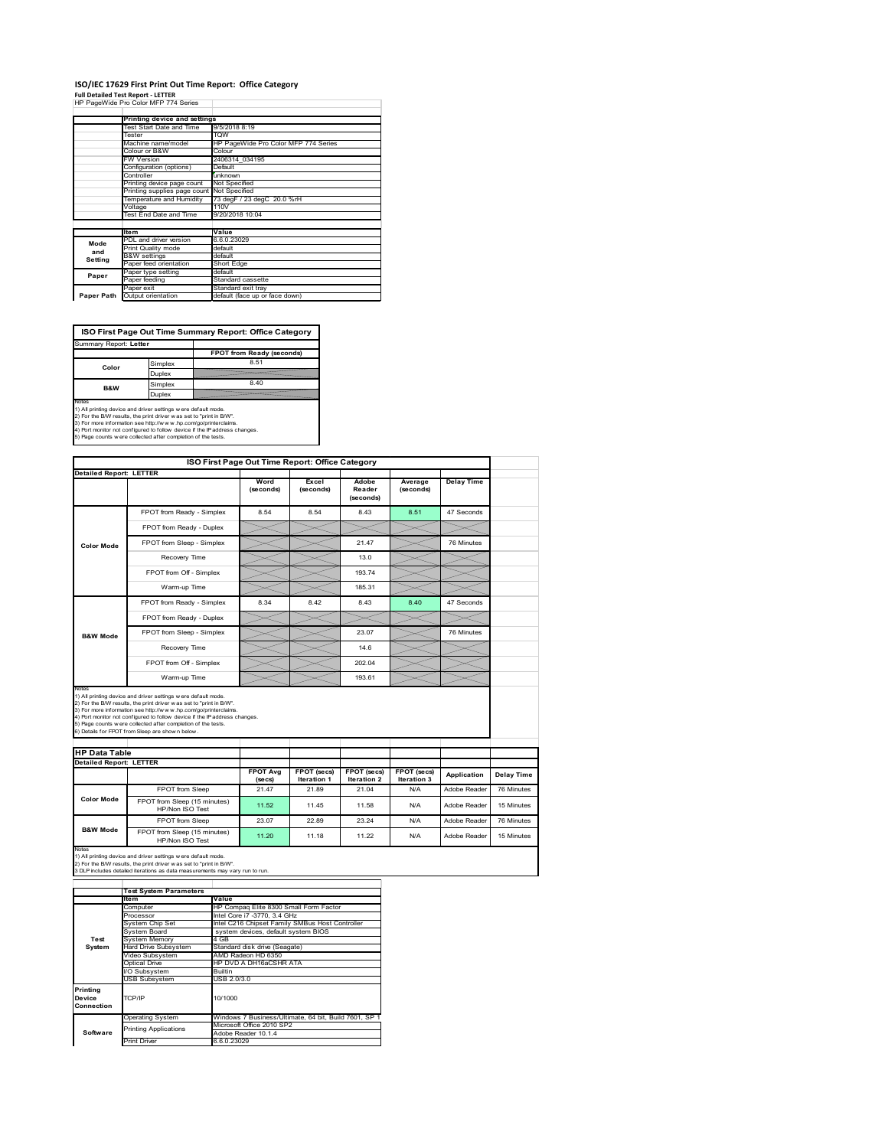#### **ISO/IEC 17629 First Print Out Time Report: Office Category Full Detailed Test Report ‐ LETTER** HP PageWide Pro Color MFP 774 Series h

|            | Printing device and settings               |                                      |
|------------|--------------------------------------------|--------------------------------------|
|            | Test Start Date and Time                   | 9/5/2018 8:19                        |
|            | Tester                                     | <b>TOW</b>                           |
|            | Machine name/model                         | HP PageWide Pro Color MFP 774 Series |
|            | Colour or B&W                              | Colour                               |
|            | <b>FW Version</b>                          | 2406314 034195                       |
|            | Configuration (options)                    | Default                              |
|            | Controller                                 | unknown                              |
|            | Printing device page count                 | Not Specified                        |
|            | Printing supplies page count Not Specified |                                      |
|            | Temperature and Humidity                   | 73 degF / 23 degC 20.0 %rH           |
|            | Voltage                                    | 110V                                 |
|            | Test End Date and Time                     | 9/20/2018 10:04                      |
|            |                                            |                                      |
|            | <b>Item</b>                                | Value                                |
| Mode       | PDL and driver version                     | 6.6.0.23029                          |
| and        | Print Quality mode                         | default                              |
| Setting    | <b>B&amp;W</b> settings                    | default                              |
|            | Paper feed orientation                     | Short Edge                           |
| Paper      | Paper type setting                         | default                              |
|            | Paper feeding                              | Standard cassette                    |
|            | Paper exit                                 | Standard exit tray                   |
| Paper Path | Output orientation                         | default (face up or face down)       |

**ISO First Page Out Time Summary Report: Office Category**

| Summary Report: Letter |         |                           |
|------------------------|---------|---------------------------|
|                        |         | FPOT from Ready (seconds) |
| Color                  | Simplex | 8.51                      |
|                        | Duplex  |                           |
| <b>B&amp;W</b>         | Simplex | 8.40                      |
|                        | Duplex  |                           |
| Notes                  |         |                           |

Notes<br>1) All printing device and driver settings were default mode.<br>2) For the BW results, the print driver was set to "print in BW".<br>3) For more information see http://www.hp.com/golprinterclaims.<br>4) Port montor not confi

|                                                                 | ISO First Page Out Time Report: Office Category                                                                                                                                                                                                                                                                                                                                                              |                            |                                   |                                   |                            |                   |            |
|-----------------------------------------------------------------|--------------------------------------------------------------------------------------------------------------------------------------------------------------------------------------------------------------------------------------------------------------------------------------------------------------------------------------------------------------------------------------------------------------|----------------------------|-----------------------------------|-----------------------------------|----------------------------|-------------------|------------|
| <b>Detailed Report: LETTER</b>                                  |                                                                                                                                                                                                                                                                                                                                                                                                              | Word<br>(seconds)          | Excel<br>(seconds)                | Adobe<br>Reader<br>(seconds)      | Average<br>(seconds)       | <b>Delay Time</b> |            |
|                                                                 | FPOT from Ready - Simplex                                                                                                                                                                                                                                                                                                                                                                                    | 8.54                       | 8.54                              | 8.43                              | 8.51                       | 47 Seconds        |            |
| <b>Color Mode</b>                                               | FPOT from Ready - Duplex                                                                                                                                                                                                                                                                                                                                                                                     |                            |                                   |                                   |                            |                   |            |
|                                                                 | FPOT from Sleep - Simplex                                                                                                                                                                                                                                                                                                                                                                                    |                            |                                   | 21.47                             |                            | 76 Minutes        |            |
|                                                                 | Recovery Time                                                                                                                                                                                                                                                                                                                                                                                                |                            |                                   | 13.0                              |                            |                   |            |
|                                                                 | FPOT from Off - Simplex                                                                                                                                                                                                                                                                                                                                                                                      |                            |                                   | 193.74                            |                            |                   |            |
|                                                                 | Warm-up Time                                                                                                                                                                                                                                                                                                                                                                                                 |                            |                                   | 185.31                            |                            |                   |            |
|                                                                 | FPOT from Ready - Simplex                                                                                                                                                                                                                                                                                                                                                                                    | 8.34                       | 8.42                              | 8.43                              | 8.40                       | 47 Seconds        |            |
|                                                                 | FPOT from Ready - Duplex                                                                                                                                                                                                                                                                                                                                                                                     |                            |                                   |                                   |                            |                   |            |
| <b>B&amp;W Mode</b>                                             | FPOT from Sleep - Simplex                                                                                                                                                                                                                                                                                                                                                                                    |                            |                                   | 23.07                             |                            | 76 Minutes        |            |
|                                                                 | Recovery Time                                                                                                                                                                                                                                                                                                                                                                                                |                            |                                   | 14.6                              |                            |                   |            |
|                                                                 |                                                                                                                                                                                                                                                                                                                                                                                                              |                            |                                   |                                   |                            |                   |            |
|                                                                 | FPOT from Off - Simplex                                                                                                                                                                                                                                                                                                                                                                                      |                            |                                   | 202.04                            |                            |                   |            |
|                                                                 | Warm-up Time                                                                                                                                                                                                                                                                                                                                                                                                 |                            |                                   | 193.61                            |                            |                   |            |
| Notes<br><b>HP Data Table</b><br><b>Detailed Report: LETTER</b> | 1) All printing device and driver settings w ere default mode.<br>2) For the B/W results, the print driver w as set to "print in B/W".<br>3) For more information see http://www.hp.com/go/printerclaims.<br>4) Port monitor not configured to follow device if the IP address changes.<br>5) Page counts w ere collected after completion of the tests.<br>6) Details for FPOT from Sleep are show n below. | <b>FPOT Ava</b><br>(se cs) | FPOT (secs)<br><b>Iteration 1</b> | FPOT (secs)<br><b>Iteration 2</b> | FPOT (secs)<br>Iteration 3 | Application       | Delay Time |
|                                                                 | FPOT from Sleep                                                                                                                                                                                                                                                                                                                                                                                              | 21.47                      | 21.89                             | 21.04                             | N/A                        | Adobe Reader      | 76 Minutes |
| <b>Color Mode</b>                                               | FPOT from Sleep (15 minutes)<br>HP/Non ISO Test                                                                                                                                                                                                                                                                                                                                                              | 11.52                      | 11.45                             | 11.58                             | N/A                        | Adobe Reader      | 15 Minutes |
| <b>B&amp;W Mode</b>                                             | FPOT from Sleep                                                                                                                                                                                                                                                                                                                                                                                              | 23.07                      | 22.89                             | 23.24                             | N/A                        | Adobe Reader      | 76 Minutes |

|            | <b>Test System Parameters</b> |                                                       |
|------------|-------------------------------|-------------------------------------------------------|
|            | lte m                         | Value                                                 |
|            | Computer                      | HP Compag Elite 8300 Small Form Factor                |
|            | Processor                     | Intel Core i7 -3770, 3.4 GHz                          |
|            | System Chip Set               | Intel C216 Chipset Family SMBus Host Controller       |
|            | System Board                  | system devices, default system BIOS                   |
| Test       | <b>System Memory</b>          | 4 GB                                                  |
| System     | <b>Hard Drive Subsystem</b>   | Standard disk drive (Seagate)                         |
|            | Video Subsystem               | AMD Radeon HD 6350                                    |
|            | Optical Drive                 | HP DVD A DH16aCSHR ATA                                |
|            | I/O Subsystem                 | Builtin                                               |
|            | <b>USB Subsystem</b>          | USB 2.0/3.0                                           |
| Printing   |                               |                                                       |
| Device     | TCP/IP                        | 10/1000                                               |
| Connection |                               |                                                       |
|            | <b>Operating System</b>       | Windows 7 Business/Ultimate, 64 bit, Build 7601, SP 1 |
|            | <b>Printing Applications</b>  | Microsoft Office 2010 SP2                             |
| Software   |                               | Adobe Reader 10.1.4                                   |
|            | <b>Print Driver</b>           | 6.6.0.23029                                           |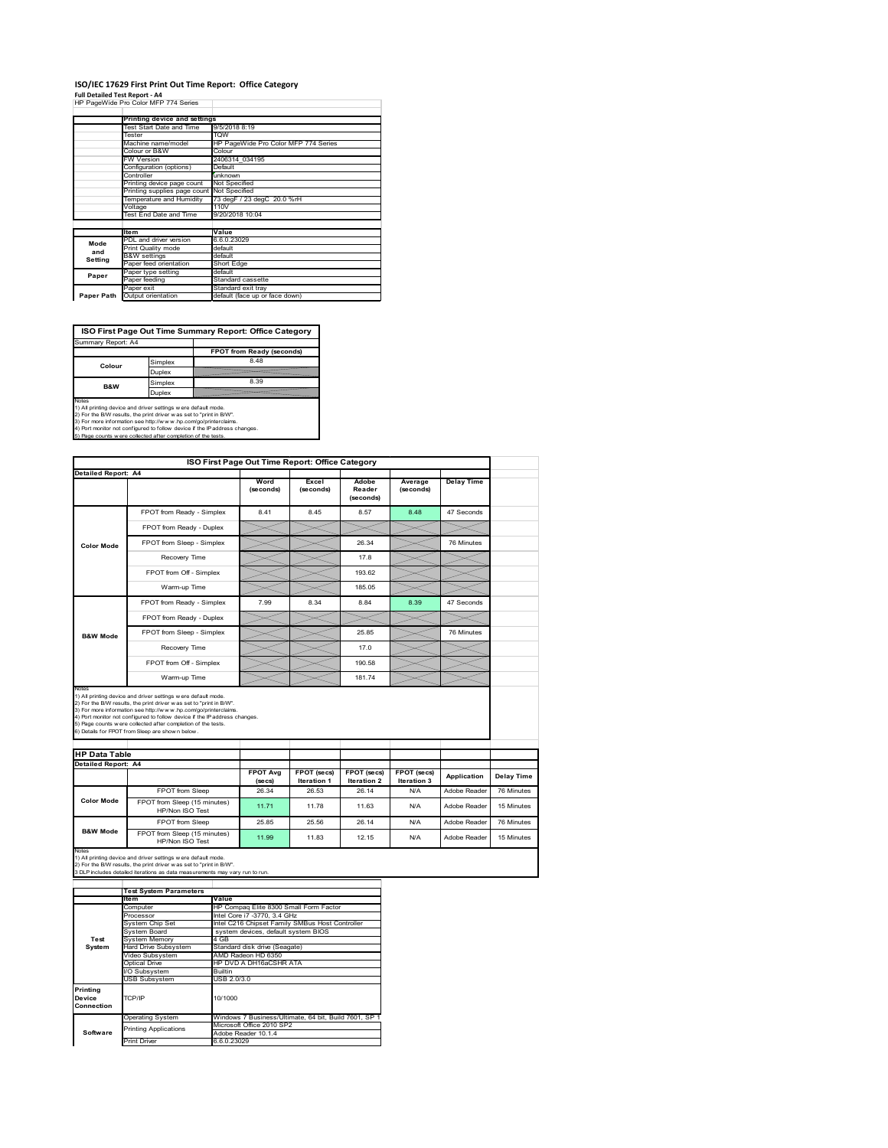## **ISO/IEC 17629 First Print Out Time Report: Office Category**

**Full Detailed Test Report ‐ A4** HP PageWide Pro Color MFP 774 Series

|            | Printing device and settings |                                      |
|------------|------------------------------|--------------------------------------|
|            | Test Start Date and Time     | 9/5/2018 8:19                        |
|            | Tester                       | <b>TOW</b>                           |
|            | Machine name/model           | HP PageWide Pro Color MFP 774 Series |
|            | Colour or B&W                | Colour                               |
|            | FW Version                   | 2406314 034195                       |
|            | Configuration (options)      | Default                              |
|            | Controller                   | unknown                              |
|            | Printing device page count   | Not Specified                        |
|            | Printing supplies page count | Not Specified                        |
|            | Temperature and Humidity     | 73 degF / 23 degC 20.0 %rH           |
|            | Voltage                      | 110V                                 |
|            | Test End Date and Time       | 9/20/2018 10:04                      |
|            |                              |                                      |
|            | <b>Item</b>                  | Value                                |
| Mode       | PDL and driver version       | 6.6.0.23029                          |
| and        | Print Quality mode           | default                              |
| Setting    | <b>B&amp;W</b> settings      | default                              |
|            | Paper feed orientation       | Short Edge                           |
| Paper      | Paper type setting           | default                              |
|            | Paper feeding                | Standard cassette                    |
|            | Paper exit                   | Standard exit tray                   |
| Paper Path | Output orientation           | default (face up or face down)       |

**ISO First Page Out Time Summary Report: Office Category**

| Summary Report: A4 |         |                           |
|--------------------|---------|---------------------------|
|                    |         | FPOT from Ready (seconds) |
| Colour             | Simplex | 8.48                      |
|                    | Duplex  |                           |
| <b>B&amp;W</b>     | Simplex | 8.39                      |
|                    | Duplex  |                           |
| $h1 - h - h$       |         |                           |

Notes<br>1) All printing device and driver settings were default mode.<br>2) For the BAV results, the print driver was set to "print in BAV".<br>3) For more information see http://www.hp.com/golprinterclaims.<br>4) Port monitor not co

|                               |                                                                                                                                                                                                                                                                                                                                                                                                             | ISO First Page Out Time Report: Office Category |                                   |                              |                                   |                   |                                                      |
|-------------------------------|-------------------------------------------------------------------------------------------------------------------------------------------------------------------------------------------------------------------------------------------------------------------------------------------------------------------------------------------------------------------------------------------------------------|-------------------------------------------------|-----------------------------------|------------------------------|-----------------------------------|-------------------|------------------------------------------------------|
| <b>Detailed Report: A4</b>    |                                                                                                                                                                                                                                                                                                                                                                                                             | Word<br>(seconds)                               | Excel<br>(seconds)                | Adobe<br>Reader<br>(seconds) | Average<br>(seconds)              | <b>Delay Time</b> |                                                      |
|                               | FPOT from Ready - Simplex                                                                                                                                                                                                                                                                                                                                                                                   | 8.41                                            | 8.45                              | 8.57                         | 8.48                              | 47 Seconds        |                                                      |
| <b>Color Mode</b>             | FPOT from Ready - Duplex                                                                                                                                                                                                                                                                                                                                                                                    |                                                 |                                   |                              |                                   |                   |                                                      |
|                               | FPOT from Sleep - Simplex                                                                                                                                                                                                                                                                                                                                                                                   |                                                 |                                   | 26.34                        |                                   | 76 Minutes        |                                                      |
|                               | Recovery Time                                                                                                                                                                                                                                                                                                                                                                                               |                                                 |                                   | 17.8                         |                                   |                   |                                                      |
|                               | FPOT from Off - Simplex                                                                                                                                                                                                                                                                                                                                                                                     |                                                 |                                   | 193.62                       |                                   |                   |                                                      |
|                               | Warm-up Time                                                                                                                                                                                                                                                                                                                                                                                                |                                                 |                                   | 185.05                       |                                   |                   |                                                      |
|                               | FPOT from Ready - Simplex                                                                                                                                                                                                                                                                                                                                                                                   | 7.99                                            | 8.34                              | 8.84                         | 8.39                              | 47 Seconds        |                                                      |
|                               | FPOT from Ready - Duplex                                                                                                                                                                                                                                                                                                                                                                                    |                                                 |                                   |                              |                                   |                   |                                                      |
| <b>B&amp;W Mode</b>           | FPOT from Sleep - Simplex                                                                                                                                                                                                                                                                                                                                                                                   |                                                 |                                   | 25.85                        |                                   | 76 Minutes        |                                                      |
|                               | Recovery Time                                                                                                                                                                                                                                                                                                                                                                                               |                                                 |                                   | 170                          |                                   |                   |                                                      |
|                               |                                                                                                                                                                                                                                                                                                                                                                                                             |                                                 |                                   |                              |                                   |                   |                                                      |
|                               | FPOT from Off - Simplex                                                                                                                                                                                                                                                                                                                                                                                     |                                                 |                                   | 190.58                       |                                   |                   |                                                      |
|                               | Warm-up Time                                                                                                                                                                                                                                                                                                                                                                                                |                                                 |                                   | 181.74                       |                                   |                   |                                                      |
| Notes<br><b>HP Data Table</b> | 1) All printing device and driver settings w ere default mode.<br>2) For the B/W results, the print driver was set to "print in B/W".<br>3) For more information see http://www.hp.com/go/printerclaims.<br>4) Port monitor not configured to follow device if the IP address changes.<br>5) Page counts w ere collected after completion of the tests.<br>6) Details for FPOT from Sleep are show n below. |                                                 |                                   |                              |                                   |                   |                                                      |
|                               |                                                                                                                                                                                                                                                                                                                                                                                                             |                                                 |                                   |                              |                                   |                   |                                                      |
| <b>Detailed Report: A4</b>    |                                                                                                                                                                                                                                                                                                                                                                                                             | <b>FPOT Avg</b><br>(se cs)                      | FPOT (secs)<br><b>Iteration 1</b> | FPOT (secs)<br>Iteration 2   | FPOT (secs)<br><b>Iteration 3</b> | Application       |                                                      |
|                               | FPOT from Sleep                                                                                                                                                                                                                                                                                                                                                                                             | 26.34                                           | 26.53                             | 26.14                        | N/A                               | Adobe Reader      |                                                      |
| <b>Color Mode</b>             | FPOT from Sleep (15 minutes)<br>HP/Non ISO Test                                                                                                                                                                                                                                                                                                                                                             | 11.71                                           | 11.78                             | 11.63                        | N/A                               | Adobe Reader      |                                                      |
| <b>B&amp;W Mode</b>           | FPOT from Sleep                                                                                                                                                                                                                                                                                                                                                                                             | 25.85                                           | 25.56                             | 26.14                        | N/A                               | Adobe Reader      | Delay Time<br>76 Minutes<br>15 Minutes<br>76 Minutes |

|                                  | <b>Test System Parameters</b> |                                                       |
|----------------------------------|-------------------------------|-------------------------------------------------------|
|                                  | Item                          | Value                                                 |
|                                  | Computer                      | HP Compag Elite 8300 Small Form Factor                |
|                                  | Processor                     | Intel Core i7 -3770, 3.4 GHz                          |
|                                  | System Chip Set               | Intel C216 Chipset Family SMBus Host Controller       |
|                                  | System Board                  | system devices, default system BIOS                   |
| Test                             | <b>System Memory</b>          | 4 GB                                                  |
| System                           | <b>Hard Drive Subsystem</b>   | Standard disk drive (Seagate)                         |
|                                  | Video Subsystem               | AMD Radeon HD 6350                                    |
|                                  | Optical Drive                 | HP DVD A DH16aCSHR ATA                                |
|                                  | I/O Subsystem                 | <b>Builtin</b>                                        |
|                                  | <b>USB Subsystem</b>          | USB 2.0/3.0                                           |
| Printing<br>Device<br>Connection | TCP/IP                        | 10/1000                                               |
|                                  | <b>Operating System</b>       | Windows 7 Business/Ultimate, 64 bit, Build 7601, SP 1 |
|                                  | <b>Printing Applications</b>  | Microsoft Office 2010 SP2                             |
| Software                         |                               | Adobe Reader 10.1.4                                   |
|                                  | <b>Print Driver</b>           | 6.6.0.23029                                           |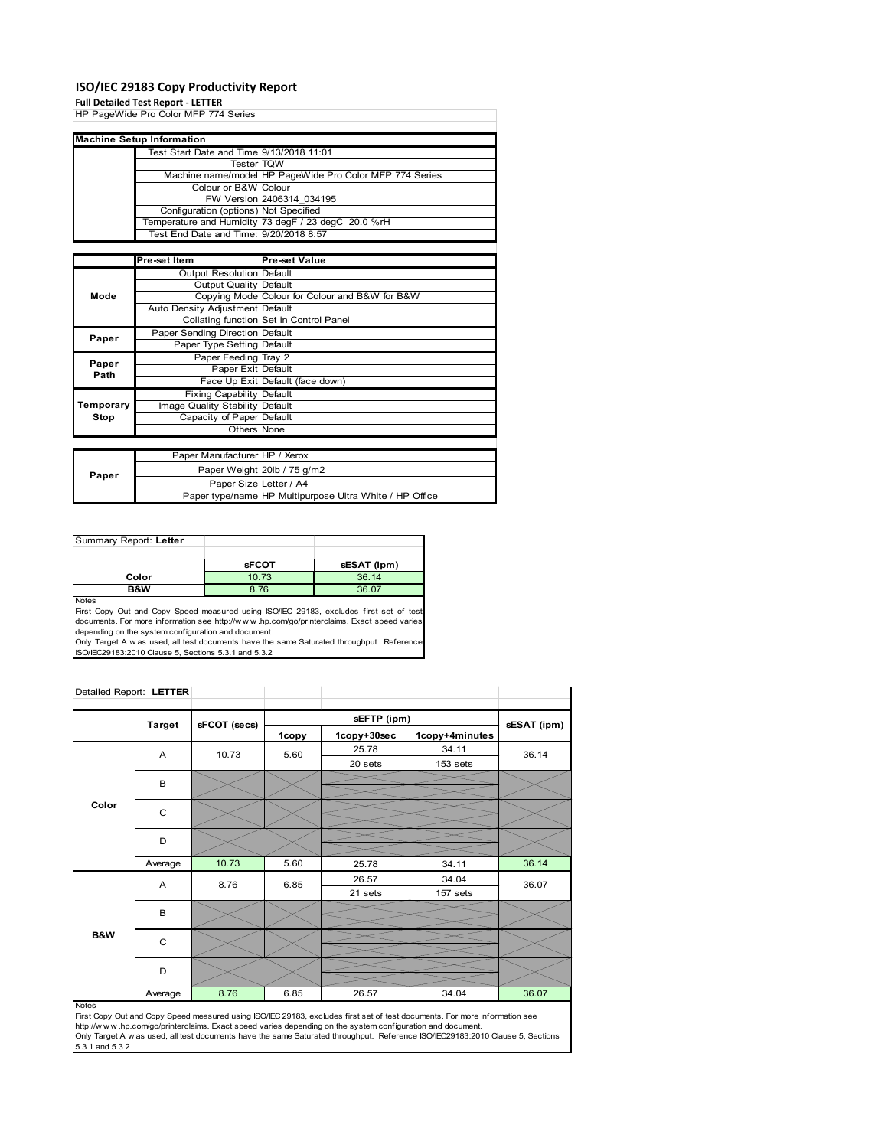### **ISO/IEC 29183 Copy Productivity Report**

#### **Full Detailed Test Report ‐ LETTER**

|           | HP PageWide Pro Color MFP 774 Series     |                                                         |
|-----------|------------------------------------------|---------------------------------------------------------|
|           |                                          |                                                         |
|           | <b>Machine Setup Information</b>         |                                                         |
|           | Test Start Date and Time 9/13/2018 11:01 |                                                         |
|           | <b>Tester TQW</b>                        |                                                         |
|           |                                          | Machine name/model HP PageWide Pro Color MFP 774 Series |
|           | Colour or B&W Colour                     |                                                         |
|           |                                          | FW Version 2406314 034195                               |
|           | Configuration (options) Not Specified    |                                                         |
|           |                                          | Temperature and Humidity 73 degF / 23 degC 20.0 %rH     |
|           | Test End Date and Time: 9/20/2018 8:57   |                                                         |
|           |                                          |                                                         |
|           | Pre-set Item                             | Pre-set Value                                           |
|           | <b>Output Resolution Default</b>         |                                                         |
|           | Output Quality Default                   |                                                         |
| Mode      |                                          | Copying Mode Colour for Colour and B&W for B&W          |
|           | Auto Density Adjustment Default          |                                                         |
|           |                                          | Collating function Set in Control Panel                 |
| Paper     | Paper Sending Direction Default          |                                                         |
|           | Paper Type Setting Default               |                                                         |
| Paper     | Paper Feeding Tray 2                     |                                                         |
| Path      | Paper Exit Default                       |                                                         |
|           |                                          | Face Up Exit Default (face down)                        |
|           | <b>Fixing Capability Default</b>         |                                                         |
| Temporary | Image Quality Stability Default          |                                                         |
| Stop      | Capacity of Paper Default                |                                                         |
|           | Others None                              |                                                         |
|           |                                          |                                                         |
|           | Paper Manufacturer HP / Xerox            |                                                         |
|           |                                          | Paper Weight 20lb / 75 g/m2                             |
| Paper     | Paper Size Letter / A4                   |                                                         |
|           |                                          | Paper type/name HP Multipurpose Ultra White / HP Office |

| Summary Report: Letter |              |             |
|------------------------|--------------|-------------|
|                        |              |             |
|                        | <b>sFCOT</b> | sESAT (ipm) |
| Color                  | 10.73        | 36.14       |
| B&W                    | 8.76         | 36.07       |
| <b>Nickon</b>          |              |             |

Notes<br>First Copy Out and Copy Speed measured using ISO/IEC 29183, excludes first set of test<br>documents. For more information see http://www..hp.com/go/printerclaims. Exact speed varies

depending on the system configuration and document.<br>Only Target A w as used, all test documents have the same Saturated throughput. Reference<br>ISO/IEC29183:2010 Clause 5, Sections 5.3.1 and 5.3.2

| Detailed Report: LETTER |               |              |       |             |                |             |
|-------------------------|---------------|--------------|-------|-------------|----------------|-------------|
|                         |               |              |       | sEFTP (ipm) |                |             |
|                         | <b>Target</b> | sFCOT (secs) | 1copy | 1copy+30sec | 1copy+4minutes | sESAT (ipm) |
|                         | A             | 10.73        | 5.60  | 25.78       | 34.11          | 36.14       |
|                         |               |              |       | 20 sets     | 153 sets       |             |
|                         | B             |              |       |             |                |             |
|                         |               |              |       |             |                |             |
| Color                   | C             |              |       |             |                |             |
|                         |               |              |       |             |                |             |
|                         | D             |              |       |             |                |             |
|                         | Average       | 10.73        | 5.60  | 25.78       | 34.11          | 36.14       |
|                         | A             | 8.76         | 6.85  | 26.57       | 34.04          | 36.07       |
|                         |               |              |       | 21 sets     | 157 sets       |             |
|                         | B             |              |       |             |                |             |
|                         |               |              |       |             |                |             |
| <b>B&amp;W</b>          | $\mathsf{C}$  |              |       |             |                |             |
|                         |               |              |       |             |                |             |
|                         | D             |              |       |             |                |             |
|                         | Average       | 8.76         | 6.85  | 26.57       | 34.04          | 36.07       |

#### Notes

First Copy Out and Copy Speed measured using ISO/IEC 29183, excludes first set of test documents. For more information see<br>http://w w w.hp.com/go/printerclaims. Exact speed varies depending on the system configuration and 5.3.1 and 5.3.2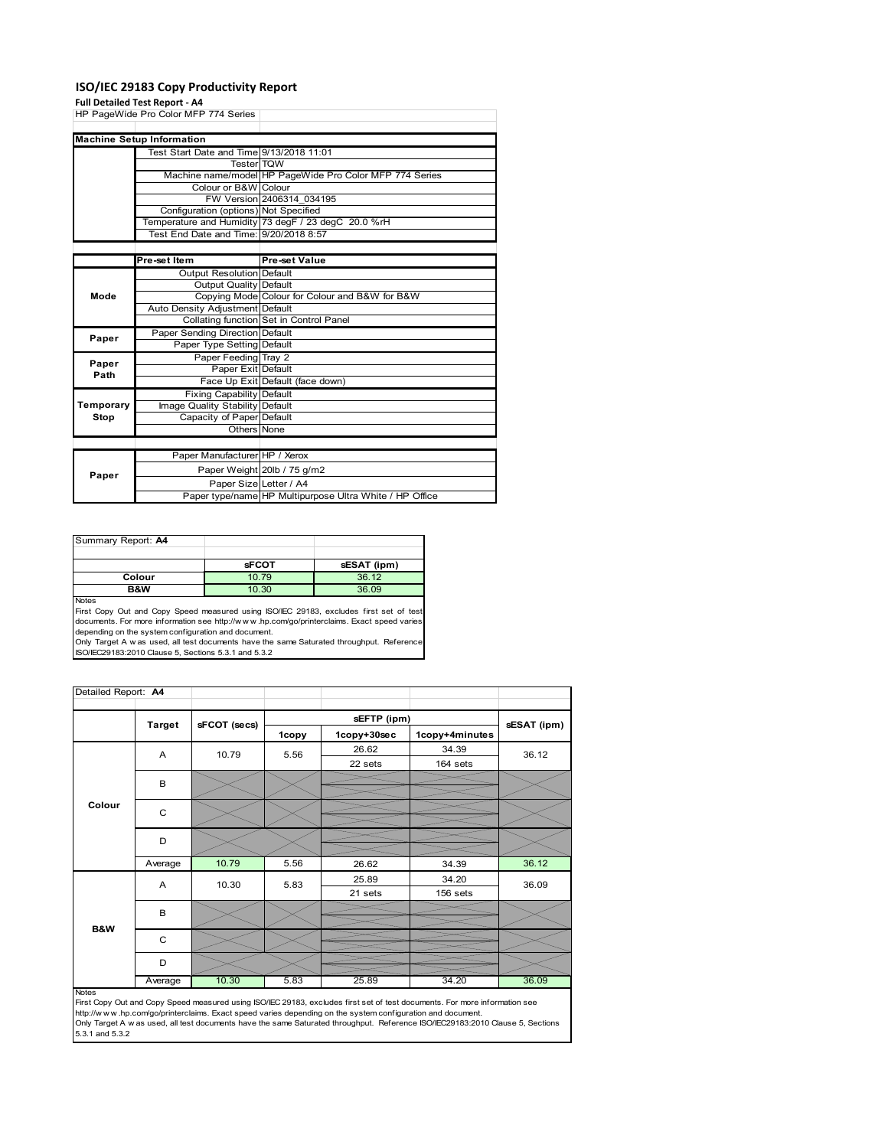### **ISO/IEC 29183 Copy Productivity Report**

### **Full Detailed Test Report ‐ A4**

|           | HP PageWide Pro Color MFP 774 Series     |                                                         |
|-----------|------------------------------------------|---------------------------------------------------------|
|           |                                          |                                                         |
|           | <b>Machine Setup Information</b>         |                                                         |
|           | Test Start Date and Time 9/13/2018 11:01 |                                                         |
|           | <b>Tester TOW</b>                        |                                                         |
|           |                                          | Machine name/model HP PageWide Pro Color MFP 774 Series |
|           | Colour or B&W Colour                     |                                                         |
|           |                                          | FW Version 2406314 034195                               |
|           | Configuration (options) Not Specified    |                                                         |
|           |                                          | Temperature and Humidity 73 degF / 23 degC 20.0 %rH     |
|           | Test End Date and Time: 9/20/2018 8:57   |                                                         |
|           |                                          |                                                         |
|           | Pre-set Item                             | <b>Pre-set Value</b>                                    |
|           | <b>Output Resolution Default</b>         |                                                         |
|           | Output Quality Default                   |                                                         |
| Mode      |                                          | Copying Mode Colour for Colour and B&W for B&W          |
|           | Auto Density Adjustment Default          |                                                         |
|           |                                          | Collating function Set in Control Panel                 |
| Paper     | Paper Sending Direction Default          |                                                         |
|           | Paper Type Setting Default               |                                                         |
| Paper     | Paper Feeding Tray 2                     |                                                         |
| Path      | Paper Exit Default                       |                                                         |
|           |                                          | Face Up Exit Default (face down)                        |
|           | <b>Fixing Capability Default</b>         |                                                         |
| Temporary | Image Quality Stability Default          |                                                         |
| Stop      | Capacity of Paper Default                |                                                         |
|           | Others None                              |                                                         |
|           |                                          |                                                         |
|           | Paper Manufacturer HP / Xerox            |                                                         |
| Paper     |                                          | Paper Weight 20lb / 75 g/m2                             |
|           | Paper Size Letter / A4                   |                                                         |
|           |                                          | Paper type/name HP Multipurpose Ultra White / HP Office |

Summary Report: **A4 sFCOT sESAT** (ipm)<br>10.79 36.12 **Colour 10.79 36.12<br>
<b>B&W** 10.30 36.09

Notes<br>First Copy Out and Copy Speed measured using ISO/IEC 29183, excludes first set of test<br>documents. For more information see http://www..hp.com/go/printerclaims. Exact speed varies depending on the system configuration and document.

Only Target A w as used, all test documents have the same Saturated throughput. Reference ISO/IEC29183:2010 Clause 5, Sections 5.3.1 and 5.3.2

| Detailed Report: A4 |               |              |       |             |                |             |
|---------------------|---------------|--------------|-------|-------------|----------------|-------------|
|                     |               |              |       | sEFTP (ipm) |                |             |
|                     | <b>Target</b> | sFCOT (secs) | 1copy | 1copy+30sec | 1copy+4minutes | sESAT (ipm) |
|                     | A             | 10.79        | 5.56  | 26.62       | 34.39          | 36.12       |
|                     |               |              |       | 22 sets     | 164 sets       |             |
|                     | B             |              |       |             |                |             |
|                     |               |              |       |             |                |             |
| Colour              | $\mathsf{C}$  |              |       |             |                |             |
|                     |               |              |       |             |                |             |
|                     | D             |              |       |             |                |             |
|                     |               |              |       |             |                |             |
|                     | Average       | 10.79        | 5.56  | 26.62       | 34.39          | 36.12       |
|                     | A             | 10.30        | 5.83  | 25.89       | 34.20          | 36.09       |
|                     |               |              |       | 21 sets     | 156 sets       |             |
|                     | B             |              |       |             |                |             |
| <b>B&amp;W</b>      |               |              |       |             |                |             |
|                     | C             |              |       |             |                |             |
|                     |               |              |       |             |                |             |
|                     | D             |              |       |             |                |             |
|                     | Average       | 10.30        | 5.83  | 25.89       | 34.20          | 36.09       |

**36.09** 

Average 10.30 5.83 525.89 34.20 36.09<br>First Copy Out and Copy Speed measured using ISO/IEC 29183, excludes first set of test documents. For more information see<br>Inttp://www.hp.com/go/printerclaims. Exact speed varies depen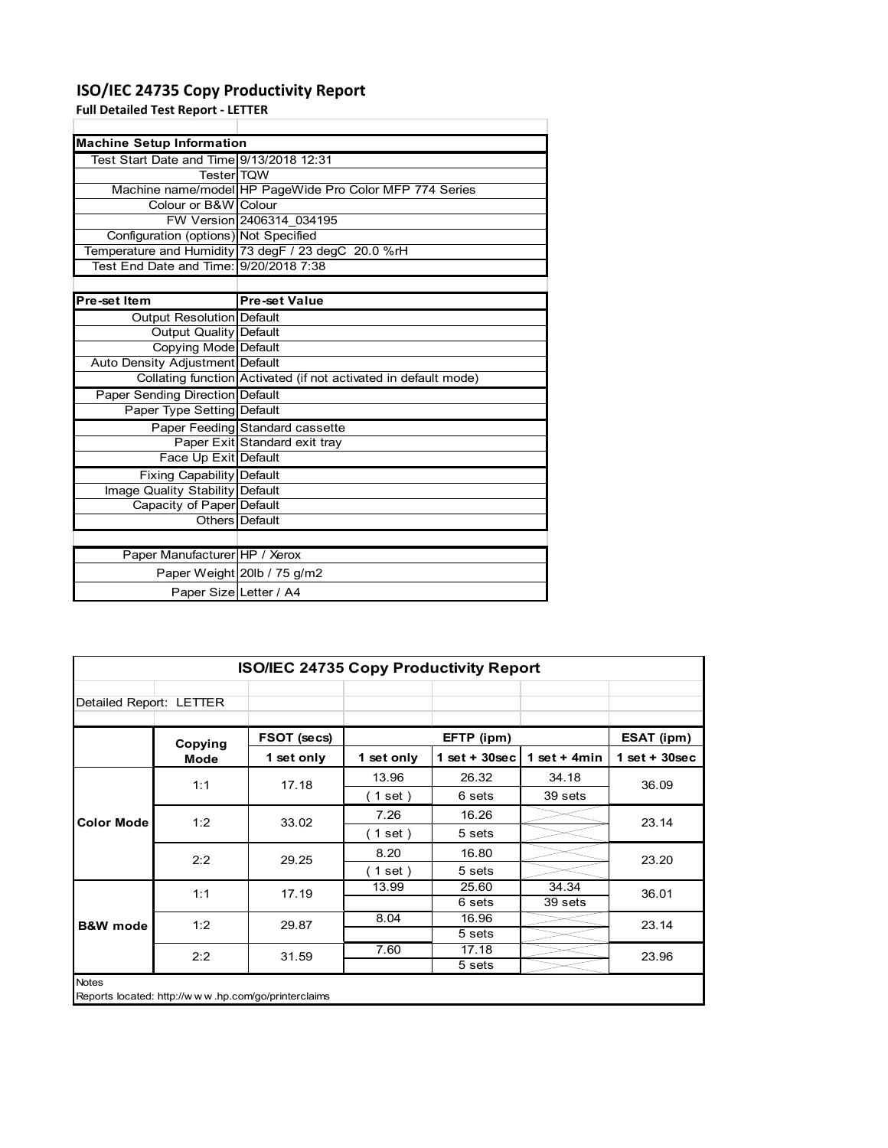## **ISO/IEC 24735 Copy Productivity Report**

**Full Detailed Test Report ‐ LETTER**

| <b>Machine Setup Information</b>         |                                                                 |
|------------------------------------------|-----------------------------------------------------------------|
| Test Start Date and Time 9/13/2018 12:31 |                                                                 |
| <b>TesterITQW</b>                        |                                                                 |
|                                          | Machine name/model HP PageWide Pro Color MFP 774 Series         |
| Colour or B&W Colour                     |                                                                 |
|                                          | FW Version 2406314 034195                                       |
| Configuration (options) Not Specified    |                                                                 |
|                                          | Temperature and Humidity 73 degF / 23 degC 20.0 %rH             |
|                                          |                                                                 |
|                                          |                                                                 |
| Pre-set Item                             | <b>Pre-set Value</b>                                            |
| Output Resolution Default                |                                                                 |
| <b>Output Quality Default</b>            |                                                                 |
| Copying Mode Default                     |                                                                 |
| Auto Density Adjustment Default          |                                                                 |
|                                          | Collating function Activated (if not activated in default mode) |
| Paper Sending Direction Default          |                                                                 |
| Paper Type Setting Default               |                                                                 |
|                                          | Paper Feeding Standard cassette                                 |
|                                          | Paper Exit Standard exit tray                                   |
| Face Up Exit Default                     |                                                                 |
| <b>Fixing Capability Default</b>         |                                                                 |
| Image Quality Stability Default          |                                                                 |
| Capacity of Paper Default                |                                                                 |
|                                          | Others Default                                                  |
|                                          |                                                                 |
| Paper Manufacturer HP / Xerox            |                                                                 |
|                                          | Paper Weight 20lb / 75 g/m2                                     |
| Paper Size Letter / A4                   |                                                                 |

| <b>ISO/IEC 24735 Copy Productivity Report</b> |                                                     |             |            |                  |                |                 |  |
|-----------------------------------------------|-----------------------------------------------------|-------------|------------|------------------|----------------|-----------------|--|
| Detailed Report: LETTER                       |                                                     |             |            |                  |                |                 |  |
|                                               | Copying                                             | FSOT (secs) |            | EFTP (ipm)       |                | ESAT (ipm)      |  |
|                                               | Mode                                                | 1 set only  | 1 set only | $1 set + 30 sec$ | 1 set $+$ 4min | $1$ set + 30sec |  |
|                                               | 1:1                                                 | 17.18       | 13.96      | 26.32            | 34.18          | 36.09           |  |
| <b>Color Mode</b>                             |                                                     |             | (1 set)    | 6 sets           | 39 sets        |                 |  |
|                                               | 1:2                                                 | 33.02       | 7.26       | 16.26            |                | 23.14           |  |
|                                               |                                                     |             | (1 set)    | 5 sets           |                |                 |  |
|                                               | 2:2                                                 | 29.25       | 8.20       | 16.80            |                | 23.20           |  |
|                                               |                                                     |             | (1 set)    | 5 sets           |                |                 |  |
|                                               | 1:1                                                 | 17.19       | 13.99      | 25.60            | 34.34          | 36.01           |  |
|                                               |                                                     |             |            | 6 sets           | 39 sets        |                 |  |
| <b>B&amp;W</b> mode                           | 1:2                                                 | 29.87       | 8.04       | 16.96            |                | 23.14           |  |
|                                               |                                                     |             |            | 5 sets           |                |                 |  |
|                                               | 2:2                                                 | 31.59       | 7.60       | 17.18            |                | 23.96           |  |
|                                               |                                                     |             |            | 5 sets           |                |                 |  |
| Notes                                         | Reports located: http://www.hp.com/go/printerclaims |             |            |                  |                |                 |  |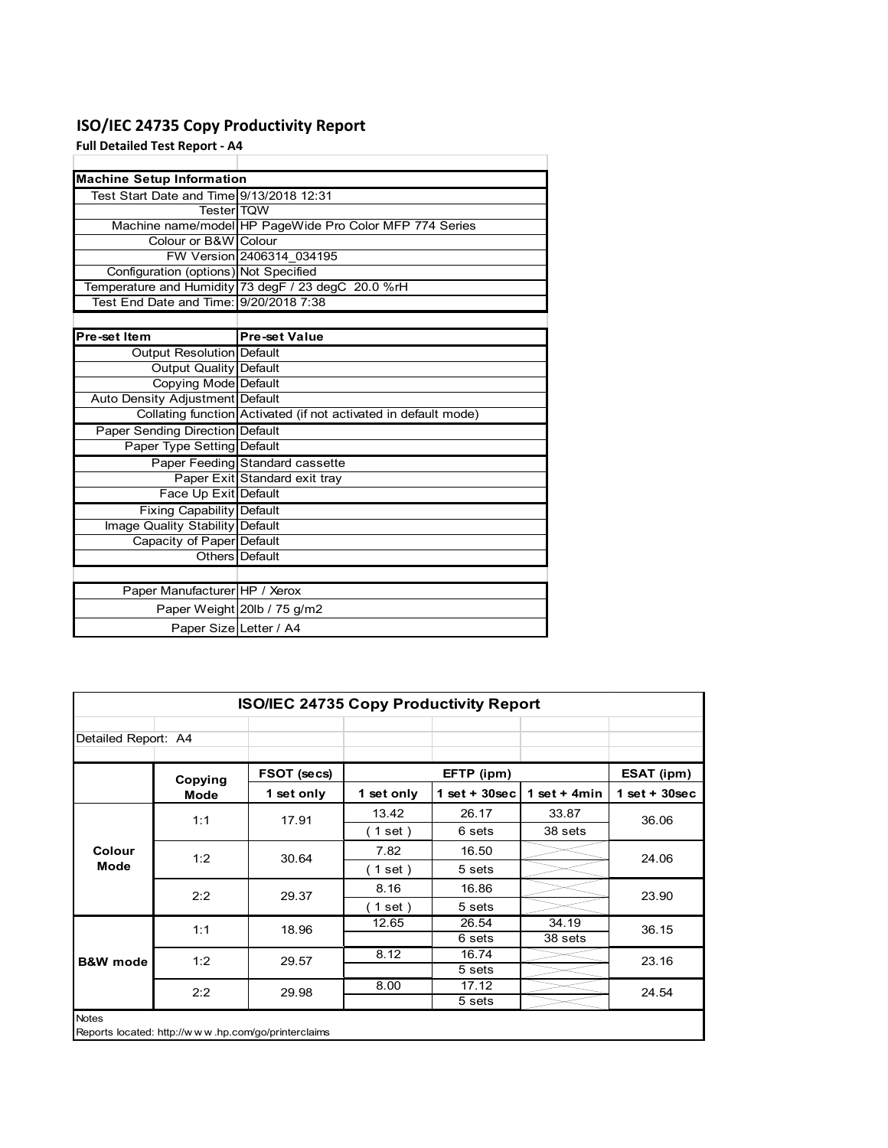## **ISO/IEC 24735 Copy Productivity Report**

**Full Detailed Test Report ‐ A4**

| <b>Machine Setup Information</b>         |                                                                 |
|------------------------------------------|-----------------------------------------------------------------|
| Test Start Date and Time 9/13/2018 12:31 |                                                                 |
| <b>TesterITOW</b>                        |                                                                 |
|                                          | Machine name/model HP PageWide Pro Color MFP 774 Series         |
| Colour or B&W Colour                     |                                                                 |
|                                          | FW Version 2406314 034195                                       |
| Configuration (options) Not Specified    |                                                                 |
|                                          | Temperature and Humidity 73 degF / 23 degC 20.0 %rH             |
| Test End Date and Time: 9/20/2018 7:38   |                                                                 |
|                                          |                                                                 |
| Pre-set Item                             | <b>Pre-set Value</b>                                            |
| Output Resolution Default                |                                                                 |
| <b>Output Quality Default</b>            |                                                                 |
| Copying Mode Default                     |                                                                 |
| Auto Density Adjustment Default          |                                                                 |
|                                          | Collating function Activated (if not activated in default mode) |
| <b>Paper Sending Direction Default</b>   |                                                                 |
| Paper Type Setting Default               |                                                                 |
|                                          | Paper Feeding Standard cassette                                 |
|                                          | Paper Exit Standard exit tray                                   |
| Face Up Exit Default                     |                                                                 |
| <b>Fixing Capability Default</b>         |                                                                 |
| Image Quality Stability Default          |                                                                 |
| Capacity of Paper Default                |                                                                 |
|                                          | Others Default                                                  |
|                                          |                                                                 |
| Paper Manufacturer HP / Xerox            |                                                                 |
|                                          | Paper Weight 20lb / 75 g/m2                                     |
| Paper Size Letter / A4                   |                                                                 |

|                     | <b>ISO/IEC 24735 Copy Productivity Report</b>       |             |            |                 |                 |                 |       |       |
|---------------------|-----------------------------------------------------|-------------|------------|-----------------|-----------------|-----------------|-------|-------|
| Detailed Report: A4 |                                                     |             |            |                 |                 |                 |       |       |
|                     | Copying                                             | FSOT (secs) |            | EFTP (ipm)      |                 | ESAT (ipm)      |       |       |
|                     | Mode                                                | 1 set only  | 1 set only | $1$ set + 30sec | 1 set + 4 $min$ | $1$ set + 30sec |       |       |
|                     | 1:1                                                 | 17.91       | 13.42      | 26.17           | 33.87           | 36.06           |       |       |
|                     |                                                     |             | (1 set)    | 6 sets          | 38 sets         |                 |       |       |
| Colour              | 1:2                                                 | 30.64       | 7.82       | 16.50           |                 | 24.06           |       |       |
| Mode                |                                                     |             | (1 set)    | 5 sets          |                 |                 |       |       |
|                     | 2:2                                                 | 29.37       | 8.16       | 16.86           |                 | 23.90           |       |       |
|                     |                                                     |             | (1 set)    | 5 sets          |                 |                 |       |       |
|                     |                                                     |             | 1:1        | 18.96           | 12.65           | 26.54           | 34.19 | 36.15 |
|                     |                                                     |             |            | 6 sets          | 38 sets         |                 |       |       |
| <b>B&amp;W</b> mode | 1:2                                                 | 29.57       | 8.12       | 16.74           |                 | 23.16           |       |       |
|                     |                                                     |             |            | 5 sets          |                 |                 |       |       |
|                     | 2:2                                                 | 29.98       | 8.00       | 17.12           |                 | 24.54           |       |       |
|                     |                                                     |             |            | 5 sets          |                 |                 |       |       |
| <b>Notes</b>        | Reports located: http://www.hp.com/go/printerclaims |             |            |                 |                 |                 |       |       |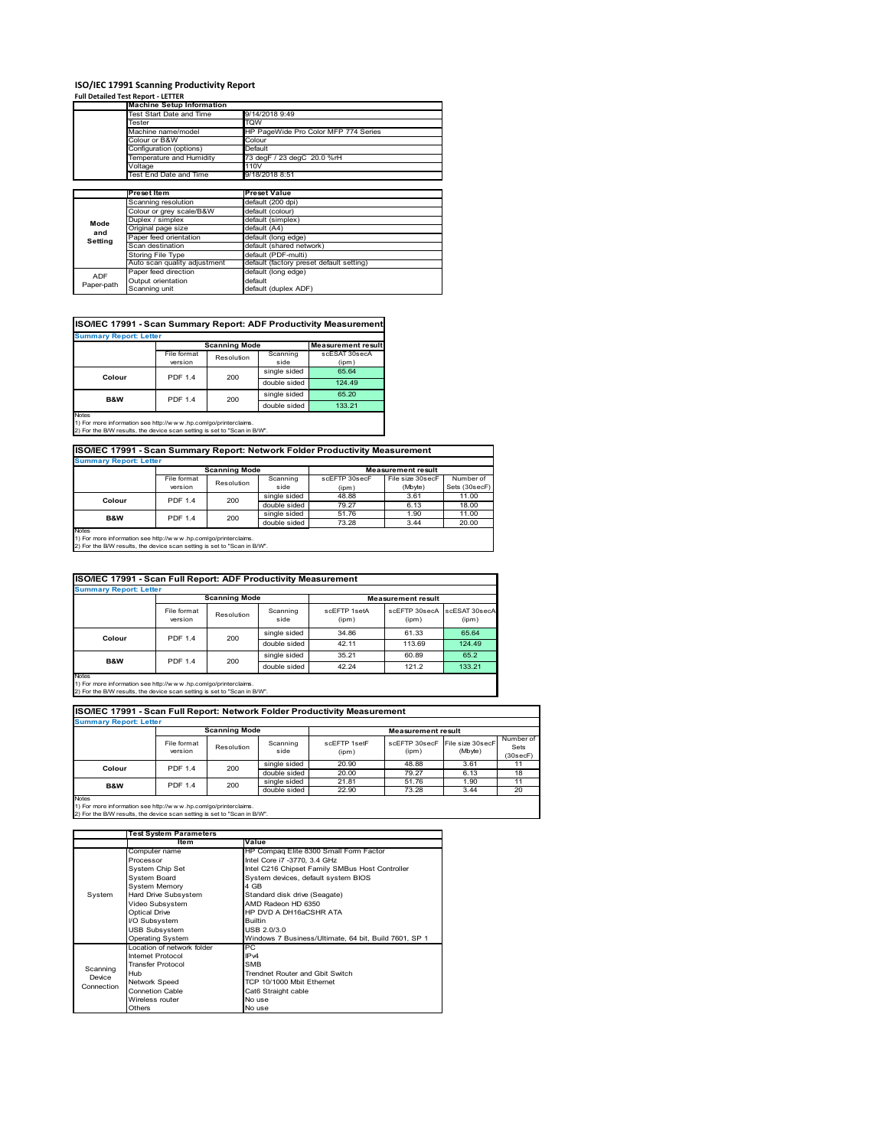## **ISO/IEC 17991 Scanning Productivity Report Full Detailed Test Report ‐ LETTER**

|            | <b>Machine Setup Information</b> |                                          |
|------------|----------------------------------|------------------------------------------|
|            | Test Start Date and Time         | 9/14/2018 9:49                           |
|            | Tester                           | TQW                                      |
|            | Machine name/model               | HP PageWide Pro Color MFP 774 Series     |
|            | Colour or B&W                    | Colour                                   |
|            | Configuration (options)          | Default                                  |
|            | Temperature and Humidity         | 73 degF / 23 degC 20.0 %rH               |
|            | Voltage                          | 110V                                     |
|            | Test End Date and Time           | 9/18/2018 8:51                           |
|            |                                  |                                          |
|            | Preset Item                      | <b>Preset Value</b>                      |
|            | Scanning resolution              | default (200 dpi)                        |
|            | Colour or grey scale/B&W         | default (colour)                         |
| Mode       | Duplex / simplex                 | default (simplex)                        |
| and        | Original page size               | default (A4)                             |
| Setting    | Paper feed orientation           | default (long edge)                      |
|            | Scan destination                 | default (shared network)                 |
|            | <b>Storing File Type</b>         | default (PDF-multi)                      |
|            | Auto scan quality adjustment     | default (factory preset default setting) |
|            |                                  | default (long edge)                      |
| <b>ADF</b> | Paper feed direction             |                                          |
| Paper-path | Output orientation               | default                                  |

| ISO/IEC 17991 - Scan Summary Report: ADF Productivity Measurement |                |                      |              |                           |  |  |  |  |
|-------------------------------------------------------------------|----------------|----------------------|--------------|---------------------------|--|--|--|--|
| <b>Summary Report: Letter</b>                                     |                |                      |              |                           |  |  |  |  |
|                                                                   |                | <b>Scanning Mode</b> |              | <b>Measurement result</b> |  |  |  |  |
|                                                                   | File format    | Resolution           | Scanning     | scESAT 30secA             |  |  |  |  |
|                                                                   | version        |                      | side         | (ipm)                     |  |  |  |  |
| Colour                                                            | <b>PDF 1.4</b> | 200                  | single sided | 65.64                     |  |  |  |  |
|                                                                   |                |                      | double sided | 124.49                    |  |  |  |  |
| <b>B&amp;W</b>                                                    | <b>PDF 1.4</b> | 200                  | single sided | 65.20                     |  |  |  |  |
|                                                                   |                |                      | double sided | 133.21                    |  |  |  |  |
| <b>Notes</b><br>$\cdots$                                          |                |                      |              |                           |  |  |  |  |

Notes 1) For more information see http://w w w .hp.com/go/printerclaims. 2) For the B/W results, the device scan setting is set to "Scan in B/W".

**ISO/IEC 17991 - Scan Summary Report: Network Folder Productivity Measurement**

| <b>Summary Report: Letter</b> |                      |            |              |                           |                  |               |
|-------------------------------|----------------------|------------|--------------|---------------------------|------------------|---------------|
|                               | <b>Scanning Mode</b> |            |              | <b>Measurement result</b> |                  |               |
|                               | File format          | Resolution | Scanning     | scEFTP 30secF             | File size 30secF | Number of     |
|                               | version              |            | side         | (ipm)                     | (Mbyte)          | Sets (30secF) |
| Colour                        | <b>PDF 1.4</b>       | 200        | single sided | 48.88                     | 3.61             | 11.00         |
|                               |                      |            | double sided | 79.27                     | 6.13             | 18.00         |
| B&W                           | <b>PDF 1.4</b>       | 200        | single sided | 51.76                     | 1.90             | 11.00         |
|                               |                      |            | double sided | 73.28                     | 3.44             | 20.00         |
| Notes                         |                      |            |              |                           |                  |               |

┓

Notes 1) For more information see http://w w w .hp.com/go/printerclaims. 2) For the B/W results, the device scan setting is set to "Scan in B/W".

| ISO/IEC 17991 - Scan Full Report: ADF Productivity Measurement |                        |                      |                  |                       |                           |                        |
|----------------------------------------------------------------|------------------------|----------------------|------------------|-----------------------|---------------------------|------------------------|
| <b>Summary Report: Letter</b>                                  |                        |                      |                  |                       |                           |                        |
|                                                                |                        | <b>Scanning Mode</b> |                  |                       | <b>Measurement result</b> |                        |
|                                                                | File format<br>version | Resolution           | Scanning<br>side | scFFTP 1setA<br>(ipm) | scEETP 30secA<br>(ipm)    | scESAT 30secA<br>(ipm) |
| Colour                                                         | <b>PDF 1.4</b>         | 200                  | single sided     | 34.86                 | 61.33                     | 65.64                  |
|                                                                |                        |                      | double sided     | 42.11                 | 113.69                    | 124.49                 |
| <b>B&amp;W</b>                                                 | <b>PDF 1.4</b>         | 200                  | single sided     | 35.21                 | 60.89                     | 65.2                   |
|                                                                |                        |                      | double sided     | 42.24                 | 121.2                     | 133.21                 |
| <b>Notes</b>                                                   |                        |                      |                  |                       |                           |                        |

Notes 1) For more information see http://w w w .hp.com/go/printerclaims. 2) For the B/W results, the device scan setting is set to "Scan in B/W".

| ISO/IEC 17991 - Scan Full Report: Network Folder Productivity Measurement |                        |            |                  |                       |                        |                             |                               |  |  |
|---------------------------------------------------------------------------|------------------------|------------|------------------|-----------------------|------------------------|-----------------------------|-------------------------------|--|--|
| <b>Summary Report: Letter</b>                                             |                        |            |                  |                       |                        |                             |                               |  |  |
| <b>Scanning Mode</b><br><b>Measurement result</b>                         |                        |            |                  |                       |                        |                             |                               |  |  |
|                                                                           | File format<br>version | Resolution | Scanning<br>side | scFFTP 1setF<br>(ipm) | scEFTP 30secF<br>(ipm) | File size 30secF<br>(Mbyte) | Number of<br>Sets<br>(30secF) |  |  |
| Colour                                                                    | 200<br>PDF 1.4         |            | single sided     | 20.90                 | 48.88                  | 3.61                        | 11                            |  |  |
|                                                                           |                        |            | double sided     | 20.00                 | 79.27                  | 6.13                        | 18                            |  |  |
| <b>B&amp;W</b>                                                            | <b>PDF 1.4</b>         | 200        | single sided     | 21.81                 | 51.76                  | 1.90                        | 11                            |  |  |
|                                                                           |                        |            | double sided     | 22.90                 | 73.28                  | 3.44                        | 20                            |  |  |
| <b>Notes</b>                                                              |                        |            |                  |                       |                        |                             |                               |  |  |

|            | <b>Test System Parameters</b> |                                                       |  |  |  |
|------------|-------------------------------|-------------------------------------------------------|--|--|--|
|            | Item                          | Value                                                 |  |  |  |
|            | Computer name                 | HP Compaq Elite 8300 Small Form Factor                |  |  |  |
|            | Processor                     | Intel Core i7 -3770, 3.4 GHz                          |  |  |  |
|            | System Chip Set               | Intel C216 Chipset Family SMBus Host Controller       |  |  |  |
|            | <b>System Board</b>           | System devices, default system BIOS                   |  |  |  |
|            | <b>System Memory</b>          | 4 GB                                                  |  |  |  |
| System     | Hard Drive Subsystem          | Standard disk drive (Seagate)                         |  |  |  |
|            | Video Subsystem               | AMD Radeon HD 6350                                    |  |  |  |
|            | <b>Optical Drive</b>          | HP DVD A DH16aCSHR ATA                                |  |  |  |
|            | I/O Subsystem                 | <b>Builtin</b>                                        |  |  |  |
|            | <b>USB Subsystem</b>          | USB 2.0/3.0                                           |  |  |  |
|            | <b>Operating System</b>       | Windows 7 Business/Ultimate, 64 bit, Build 7601, SP 1 |  |  |  |
|            | I ocation of network folder   | PC.                                                   |  |  |  |
|            | Internet Protocol             | IP <sub>v4</sub>                                      |  |  |  |
| Scanning   | <b>Transfer Protocol</b>      | <b>SMB</b>                                            |  |  |  |
| Device     | Hub                           | Trendnet Router and Gbit Switch                       |  |  |  |
| Connection | Network Speed                 | TCP 10/1000 Mbit Ethernet                             |  |  |  |
|            | <b>Connetion Cable</b>        | Cat6 Straight cable                                   |  |  |  |
|            | Wireless router               | No use                                                |  |  |  |
|            | Others                        | No use                                                |  |  |  |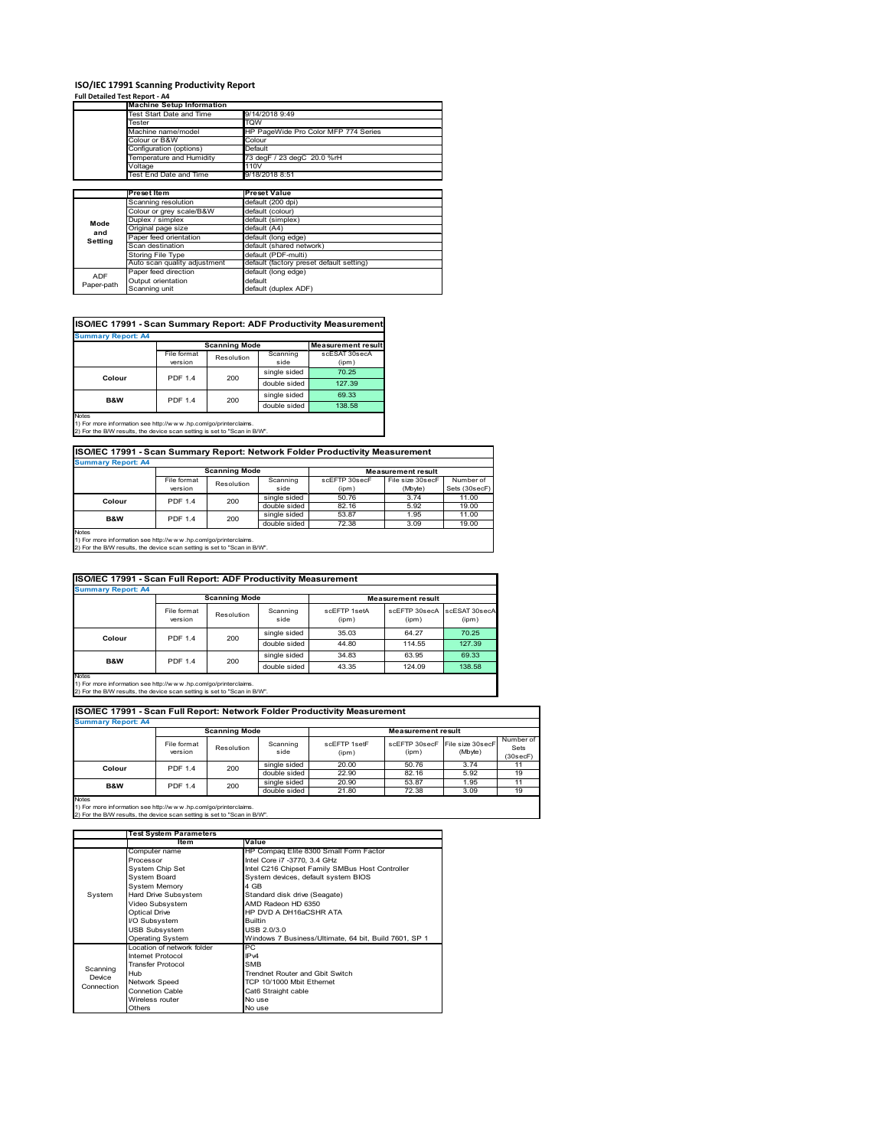### **ISO/IEC 17991 Scanning Productivity Report**

**Full Detailed Test Report ‐ A4**

|            | <b>Machine Setup Information</b> |                                          |  |  |
|------------|----------------------------------|------------------------------------------|--|--|
|            | Test Start Date and Time         | 9/14/2018 9:49                           |  |  |
|            | Tester                           | TQW                                      |  |  |
|            | Machine name/model               | HP PageWide Pro Color MFP 774 Series     |  |  |
|            | Colour or B&W                    | Colour                                   |  |  |
|            | Configuration (options)          | Default                                  |  |  |
|            | Temperature and Humidity         | 73 degF / 23 degC 20.0 %rH               |  |  |
|            | Voltage                          | 110V                                     |  |  |
|            | Test End Date and Time           | 9/18/2018 8:51                           |  |  |
|            |                                  |                                          |  |  |
|            | Preset Item                      | <b>Preset Value</b>                      |  |  |
|            | Scanning resolution              | default (200 dpi)                        |  |  |
|            | Colour or grey scale/B&W         | default (colour)                         |  |  |
| Mode       | Duplex / simplex                 | default (simplex)                        |  |  |
| and        | Original page size               | default (A4)                             |  |  |
| Setting    | Paper feed orientation           | default (long edge)                      |  |  |
|            | Scan destination                 | default (shared network)                 |  |  |
|            | <b>Storing File Type</b>         | default (PDF-multi)                      |  |  |
|            | Auto scan quality adjustment     | default (factory preset default setting) |  |  |
|            | Paper feed direction             | default (long edge)                      |  |  |
| <b>ADF</b> |                                  | default                                  |  |  |
| Paper-path | Output orientation               |                                          |  |  |

| ISO/IEC 17991 - Scan Summary Report: ADF Productivity Measurement |                |                      |              |                           |  |  |  |  |
|-------------------------------------------------------------------|----------------|----------------------|--------------|---------------------------|--|--|--|--|
| <b>Summary Report: A4</b>                                         |                |                      |              |                           |  |  |  |  |
|                                                                   |                | <b>Scanning Mode</b> |              | <b>Measurement result</b> |  |  |  |  |
|                                                                   | File format    | Resolution           | Scanning     | scESAT 30secA             |  |  |  |  |
|                                                                   | version        |                      | side         | (ipm)                     |  |  |  |  |
| Colour                                                            | <b>PDF 1.4</b> | 200                  | single sided | 70.25                     |  |  |  |  |
|                                                                   |                |                      | double sided | 127.39                    |  |  |  |  |
| B&W                                                               | <b>PDF 1.4</b> | 200                  | single sided | 69.33                     |  |  |  |  |
|                                                                   |                |                      | double sided | 138.58                    |  |  |  |  |
| Notes                                                             |                |                      |              |                           |  |  |  |  |

Notes 1) For more information see http://w w w .hp.com/go/printerclaims. 2) For the B/W results, the device scan setting is set to "Scan in B/W".

| ISO/IEC 17991 - Scan Summary Report: Network Folder Productivity Measurement |                       |              |                    |                           |                  |               |  |  |  |
|------------------------------------------------------------------------------|-----------------------|--------------|--------------------|---------------------------|------------------|---------------|--|--|--|
| <b>Summary Report: A4</b>                                                    |                       |              |                    |                           |                  |               |  |  |  |
|                                                                              | <b>Scanning Mode</b>  |              |                    | <b>Measurement result</b> |                  |               |  |  |  |
|                                                                              | File format           | Resolution   | Scanning           | scEFTP 30secF             | File size 30secF | Number of     |  |  |  |
|                                                                              | version               |              | side               | (ipm)                     | (Mbyte)          | Sets (30secF) |  |  |  |
| Colour                                                                       | 200<br><b>PDF 1.4</b> | single sided | 50.76              | 3.74                      | 11.00            |               |  |  |  |
|                                                                              |                       |              | المعامله والطبيعاء | 02.40                     | $E_{02}$         | 10.00         |  |  |  |

double sided 82.16 5.92 19.00<br>
single sided 53.87 1.95 11.00 single sided  $\begin{array}{|c|c|c|c|c|}\n53.87 & 1.95 & 11.00 & 11.00 & 11.00 & 11.00 & 11.00 & 11.00 & 11.00 & 11.00 & 11.00 & 11.00 & 11.00 & 11.00 & 11.00 & 11.00 & 11.00 & 11.00 & 11.00 & 11.00 & 11.00 & 11.00 & 11.00 & 11.00 & 11.00 & 11.00 & 11.00 & 11$ double sided 72.38 19.00 **B&W** PDF 1.4 200

Notes 1) For more information see http://w w w .hp.com/go/printerclaims. 2) For the B/W results, the device scan setting is set to "Scan in B/W".

| ISO/IEC 17991 - Scan Full Report: ADF Productivity Measurement |                        |                       |                  |                       |                           |                        |  |  |
|----------------------------------------------------------------|------------------------|-----------------------|------------------|-----------------------|---------------------------|------------------------|--|--|
| <b>Summary Report: A4</b>                                      |                        |                       |                  |                       |                           |                        |  |  |
|                                                                |                        | <b>Scanning Mode</b>  |                  |                       | <b>Measurement result</b> |                        |  |  |
|                                                                | File format<br>version | Resolution            | Scanning<br>side | scFFTP 1setA<br>(ipm) | scEFTP 30secA<br>(ipm)    | scESAT 30secA<br>(ipm) |  |  |
| Colour                                                         |                        | <b>PDF 1.4</b><br>200 | single sided     | 35.03                 | 64.27                     | 70.25                  |  |  |
|                                                                |                        |                       | double sided     | 44.80                 | 114.55                    | 127.39                 |  |  |
| B&W                                                            | <b>PDF 1.4</b>         | 200                   | single sided     | 34.83                 | 63.95                     | 69.33                  |  |  |
|                                                                |                        |                       | double sided     | 43.35                 | 124.09                    | 138.58                 |  |  |
| <b>Notes</b>                                                   |                        |                       |                  |                       |                           |                        |  |  |

Notes 1) For more information see http://w w w .hp.com/go/printerclaims. 2) For the B/W results, the device scan setting is set to "Scan in B/W".

| ISO/IEC 17991 - Scan Full Report: Network Folder Productivity Measurement |                        |                      |                  |                       |                                         |         |                               |
|---------------------------------------------------------------------------|------------------------|----------------------|------------------|-----------------------|-----------------------------------------|---------|-------------------------------|
| <b>Summary Report: A4</b>                                                 |                        |                      |                  |                       |                                         |         |                               |
|                                                                           |                        | <b>Scanning Mode</b> |                  |                       | <b>Measurement result</b>               |         |                               |
|                                                                           | File format<br>version | Resolution           | Scanning<br>side | scFFTP 1setF<br>(ipm) | scEFTP 30secF File size 30secF<br>(ipm) | (Mbyte) | Number of<br>Sets<br>(30secF) |
| Colour                                                                    | <b>PDF 1.4</b>         | 200                  | single sided     | 20.00                 | 50.76                                   | 3.74    | 11                            |
|                                                                           |                        |                      | double sided     | 22.90                 | 82.16                                   | 5.92    | 19                            |
| <b>B&amp;W</b>                                                            | <b>PDF 1.4</b>         | 200                  | single sided     | 20.90                 | 53.87                                   | 1.95    | 11                            |
|                                                                           |                        |                      | double sided     | 21.80                 | 72.38                                   | 3.09    | 19                            |
| <b>Notes</b>                                                              |                        |                      |                  |                       |                                         |         |                               |

|            | <b>Test System Parameters</b> |                                                       |  |  |  |
|------------|-------------------------------|-------------------------------------------------------|--|--|--|
|            | Item                          | Value                                                 |  |  |  |
|            | Computer name                 | HP Compaq Elite 8300 Small Form Factor                |  |  |  |
|            | Processor                     | Intel Core i7 -3770, 3.4 GHz                          |  |  |  |
|            | System Chip Set               | Intel C216 Chipset Family SMBus Host Controller       |  |  |  |
|            | System Board                  | System devices, default system BIOS                   |  |  |  |
|            | <b>System Memory</b>          | 4 GB                                                  |  |  |  |
| System     | Hard Drive Subsystem          | Standard disk drive (Seagate)                         |  |  |  |
|            | Video Subsystem               | AMD Radeon HD 6350                                    |  |  |  |
|            | Optical Drive                 | HP DVD A DH16aCSHR ATA                                |  |  |  |
|            | I/O Subsystem                 | <b>Builtin</b>                                        |  |  |  |
|            | <b>USB Subsystem</b>          | USB 2.0/3.0                                           |  |  |  |
|            | <b>Operating System</b>       | Windows 7 Business/Ultimate, 64 bit, Build 7601, SP 1 |  |  |  |
|            | I ocation of network folder   | PC.                                                   |  |  |  |
|            | Internet Protocol             | IP <sub>v4</sub>                                      |  |  |  |
| Scanning   | <b>Transfer Protocol</b>      | <b>SMB</b>                                            |  |  |  |
| Device     | Hub                           | Trendnet Router and Gbit Switch                       |  |  |  |
| Connection | Network Speed                 | TCP 10/1000 Mbit Ethernet                             |  |  |  |
|            | Connetion Cable               | Cat6 Straight cable                                   |  |  |  |
|            | Wireless router               | No use                                                |  |  |  |
|            | Others                        | No use                                                |  |  |  |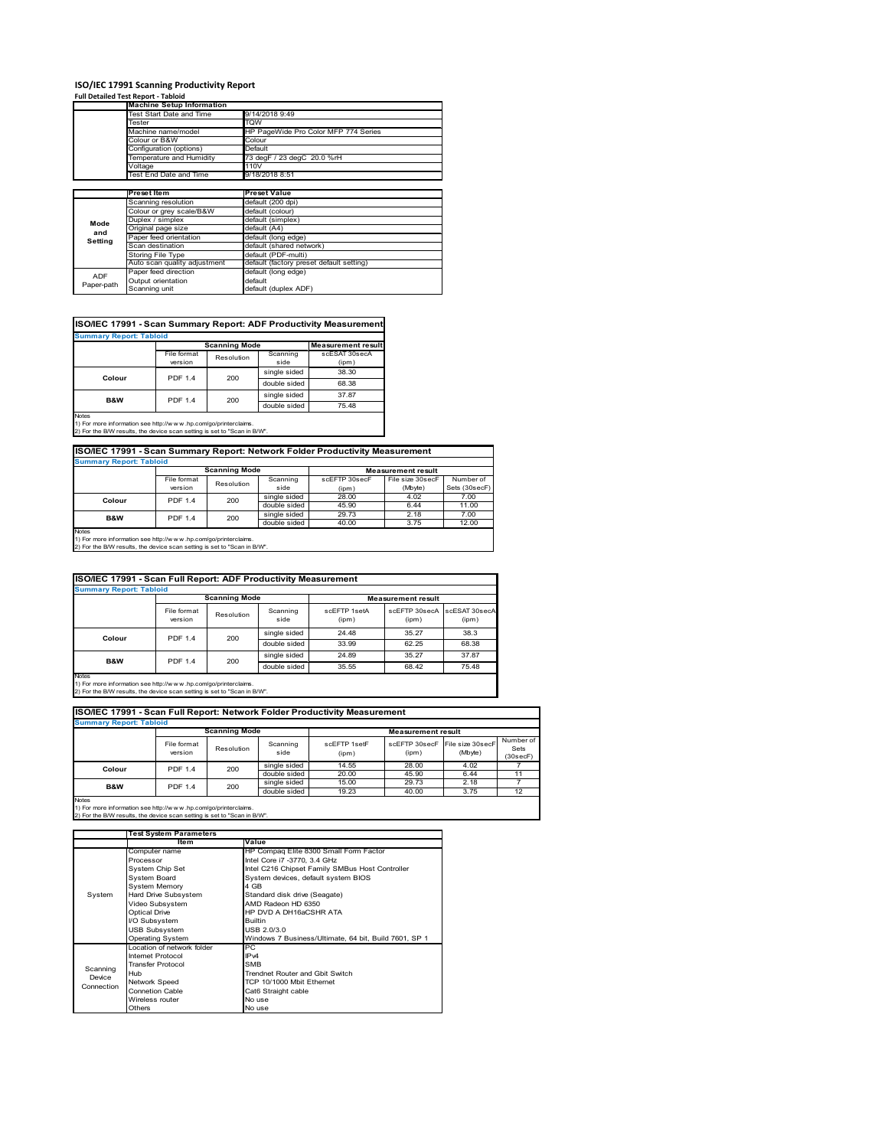# **ISO/IEC 17991 Scanning Productivity Report Full Detailed Test Report ‐ Tabloid Machine Setup Information**

|            | <b>Machine Setup Information</b> |                                          |  |  |  |
|------------|----------------------------------|------------------------------------------|--|--|--|
|            | Test Start Date and Time         | 9/14/2018 9:49                           |  |  |  |
|            | Tester                           | TQW                                      |  |  |  |
|            | Machine name/model               | HP PageWide Pro Color MFP 774 Series     |  |  |  |
|            | Colour or B&W                    | Colour                                   |  |  |  |
|            | Configuration (options)          | Default                                  |  |  |  |
|            | Temperature and Humidity         | 73 degF / 23 degC 20.0 %rH               |  |  |  |
|            | Voltage                          | 110V                                     |  |  |  |
|            | Test End Date and Time           | 9/18/2018 8:51                           |  |  |  |
|            |                                  |                                          |  |  |  |
|            | Preset Item                      | <b>Preset Value</b>                      |  |  |  |
|            | Scanning resolution              | default (200 dpi)                        |  |  |  |
|            | Colour or grey scale/B&W         | default (colour)                         |  |  |  |
| Mode       | Duplex / simplex                 | default (simplex)                        |  |  |  |
|            | Original page size               | default (A4)                             |  |  |  |
| and        | Paper feed orientation           | default (long edge)                      |  |  |  |
| Setting    | Scan destination                 | default (shared network)                 |  |  |  |
|            | <b>Storing File Type</b>         | default (PDF-multi)                      |  |  |  |
|            | Auto scan quality adjustment     | default (factory preset default setting) |  |  |  |
|            |                                  |                                          |  |  |  |
| <b>ADF</b> | Paper feed direction             | default (long edge)                      |  |  |  |
| Paper-path | Output orientation               | default                                  |  |  |  |

| <b>Summary Report: Tabloid</b> |                |                      |              |                           |
|--------------------------------|----------------|----------------------|--------------|---------------------------|
|                                |                | <b>Scanning Mode</b> |              | <b>Measurement result</b> |
|                                | File format    | Resolution           | Scanning     | scESAT 30secA             |
|                                | version        |                      | side         | (ipm)                     |
|                                | <b>PDF 1.4</b> | 200                  | single sided | 38.30                     |
| Colour                         |                |                      | double sided | 68.38                     |
| <b>B&amp;W</b>                 | <b>PDF 1.4</b> | 200                  | single sided | 37.87                     |
|                                |                |                      | double sided | 75.48                     |
| <b>Notes</b>                   |                |                      |              |                           |

Notes 1) For more information see http://w w w .hp.com/go/printerclaims. 2) For the B/W results, the device scan setting is set to "Scan in B/W".

| ISO/IEC 17991 - Scan Summary Report: Network Folder Productivity Measurement |                |            |                  |               |                             |                            |  |  |
|------------------------------------------------------------------------------|----------------|------------|------------------|---------------|-----------------------------|----------------------------|--|--|
| <b>Summary Report: Tabloid</b>                                               |                |            |                  |               |                             |                            |  |  |
| <b>Scanning Mode</b><br><b>Measurement result</b>                            |                |            |                  |               |                             |                            |  |  |
|                                                                              | File format    | Resolution | Scanning<br>side | scEFTP 30secF | File size 30secF<br>(Mbyte) | Number of<br>Sets (30secF) |  |  |
|                                                                              | version        |            |                  | (ipm)         |                             |                            |  |  |
| Colour                                                                       | <b>PDF 1.4</b> | 200        | single sided     | 28.00         | 4.02                        | 7.00                       |  |  |
|                                                                              |                |            | double sided     | 45.90         | 6.44                        | 11.00                      |  |  |
| <b>B&amp;W</b>                                                               | <b>PDF 1.4</b> | 200        | single sided     | 29.73         | 2.18                        | 7.00                       |  |  |
|                                                                              |                |            | double sided     | 40.00         | 3.75                        | 12.00                      |  |  |
| Motor                                                                        |                |            |                  |               |                             |                            |  |  |

Notes 1) For more information see http://w w w .hp.com/go/printerclaims. 2) For the B/W results, the device scan setting is set to "Scan in B/W".

| ISO/IEC 17991 - Scan Full Report: ADF Productivity Measurement<br><b>Summary Report: Tabloid</b>                                                               |                        |                      |                  |                       |                           |                        |  |  |
|----------------------------------------------------------------------------------------------------------------------------------------------------------------|------------------------|----------------------|------------------|-----------------------|---------------------------|------------------------|--|--|
|                                                                                                                                                                |                        | <b>Scanning Mode</b> |                  |                       | <b>Measurement result</b> |                        |  |  |
|                                                                                                                                                                | File format<br>version | Resolution           | Scanning<br>side | scFFTP 1setA<br>(ipm) | scEETP 30secA<br>(ipm)    | scESAT 30secA<br>(ipm) |  |  |
|                                                                                                                                                                | <b>PDF 1.4</b>         | 200                  | single sided     | 24.48                 | 35.27                     | 38.3                   |  |  |
| Colour                                                                                                                                                         |                        |                      | double sided     | 33.99                 | 62.25                     | 68.38                  |  |  |
|                                                                                                                                                                | <b>PDF 1.4</b>         | 200                  | single sided     | 24.89                 | 35.27                     | 37.87                  |  |  |
| <b>B&amp;W</b>                                                                                                                                                 |                        |                      | double sided     | 35.55                 | 68.42                     | 75.48                  |  |  |
| <b>Notes</b><br>1) For more information see http://w w w .hp.com/go/printerclaims.<br>2) For the B/W results, the device scan setting is set to "Scan in B/W". |                        |                      |                  |                       |                           |                        |  |  |

| ISO/IEC 17991 - Scan Full Report: Network Folder Productivity Measurement |                        |                      |                  |                       |                           |                             |                               |
|---------------------------------------------------------------------------|------------------------|----------------------|------------------|-----------------------|---------------------------|-----------------------------|-------------------------------|
| <b>Summary Report: Tabloid</b>                                            |                        |                      |                  |                       |                           |                             |                               |
|                                                                           |                        | <b>Scanning Mode</b> |                  |                       | <b>Measurement result</b> |                             |                               |
|                                                                           | File format<br>version | Resolution           | Scanning<br>side | scFFTP 1setF<br>(ipm) | scEFTP 30secF<br>(ipm)    | File size 30secF<br>(Mbyte) | Number of<br>Sets<br>(30secF) |
| Colour                                                                    | <b>PDF 1.4</b>         | 200                  | single sided     | 14.55                 | 28.00                     | 4.02                        |                               |
|                                                                           |                        |                      | double sided     | 20.00                 | 45.90                     | 6.44                        | 11                            |
| <b>B&amp;W</b>                                                            | <b>PDF 1.4</b>         | 200                  | single sided     | 15.00                 | 29.73                     | 2.18                        |                               |
|                                                                           |                        |                      | double sided     | 19.23                 | 40.00                     | 3.75                        | 12                            |
| Notes                                                                     |                        |                      |                  |                       |                           |                             |                               |

|            | <b>Test System Parameters</b> |                                                       |  |  |
|------------|-------------------------------|-------------------------------------------------------|--|--|
|            | Item                          | Value                                                 |  |  |
|            | Computer name                 | HP Compaq Elite 8300 Small Form Factor                |  |  |
|            | Processor                     | Intel Core i7 -3770, 3.4 GHz                          |  |  |
|            | System Chip Set               | Intel C216 Chipset Family SMBus Host Controller       |  |  |
|            | <b>System Board</b>           | System devices, default system BIOS                   |  |  |
|            | <b>System Memory</b>          | 4 GB                                                  |  |  |
| System     | Hard Drive Subsystem          | Standard disk drive (Seagate)                         |  |  |
|            | Video Subsystem               | AMD Radeon HD 6350                                    |  |  |
|            | Optical Drive                 | HP DVD A DH16aCSHR ATA                                |  |  |
|            | I/O Subsystem                 | <b>Builtin</b>                                        |  |  |
|            | <b>USB Subsystem</b>          | USB 2.0/3.0                                           |  |  |
|            | Operating System              | Windows 7 Business/Ultimate, 64 bit, Build 7601, SP 1 |  |  |
|            | I ocation of network folder   | PC.                                                   |  |  |
|            | Internet Protocol             | IP <sub>v4</sub>                                      |  |  |
| Scanning   | <b>Transfer Protocol</b>      | <b>SMB</b>                                            |  |  |
| Device     | Hub                           | Trendnet Router and Gbit Switch                       |  |  |
| Connection | Network Speed                 | TCP 10/1000 Mbit Ethernet                             |  |  |
|            | Connetion Cable               | Cat6 Straight cable                                   |  |  |
|            | Wireless router               | No use                                                |  |  |
|            | Others                        | No use                                                |  |  |